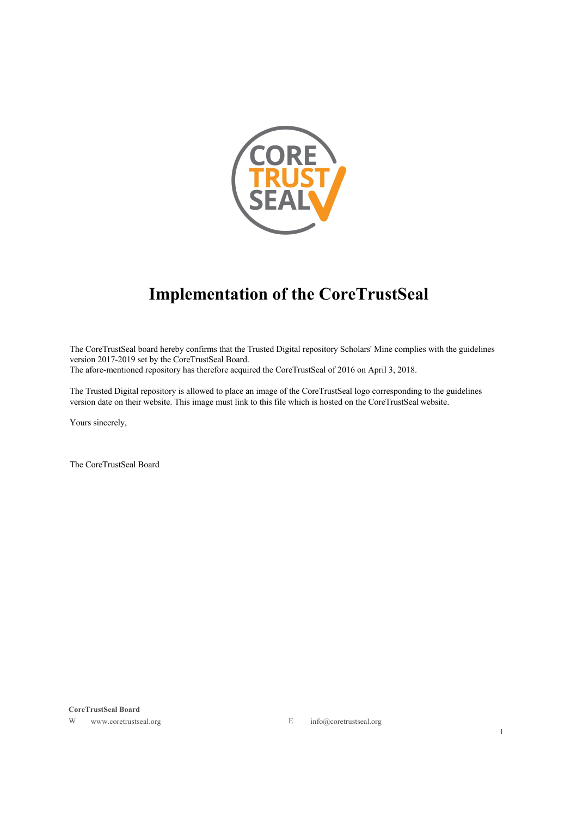

# **Implementation of the CoreTrustSeal**

The CoreTrustSeal board hereby confirms that the Trusted Digital repository Scholars' Mine complies with the guidelines version 2017-2019 set by the CoreTrustSeal Board. The afore-mentioned repository has therefore acquired the CoreTrustSeal of 2016 on April 3, 2018.

The Trusted Digital repository is allowed to place an image of the CoreTrustSeal logo corresponding to the guidelines version date on their website. This image must link to this file which is hosted on the CoreTrustSeal website.

Yours sincerely,

The CoreTrustSeal Board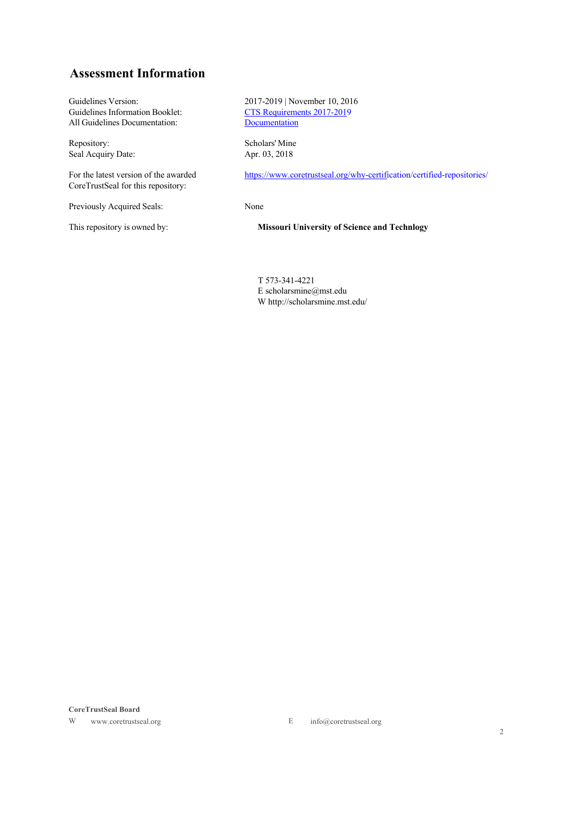# **Assessment Information**

All Guidelines Documentation:

Repository: Scholars' Mine<br>Seal Acquiry Date: Apr. 03, 2018 Seal Acquiry Date:

For the latest version of the awarded CoreTrustSeal for this repository:

Previously Acquired Seals: None

Guidelines Version: 2017-2019 | November 10, 2016<br>Guidelines Information Booklet: CTS Requirements 2017-2019 CTS Requirements 2017-2019<br>Documentation

https://www.coretrustseal.org/why-certification/certified-repositories/

This repository is owned by: **Missouri University of Science and Technlogy**

T 573-341-4221 E scholarsmine@mst.edu W http://scholarsmine.mst.edu/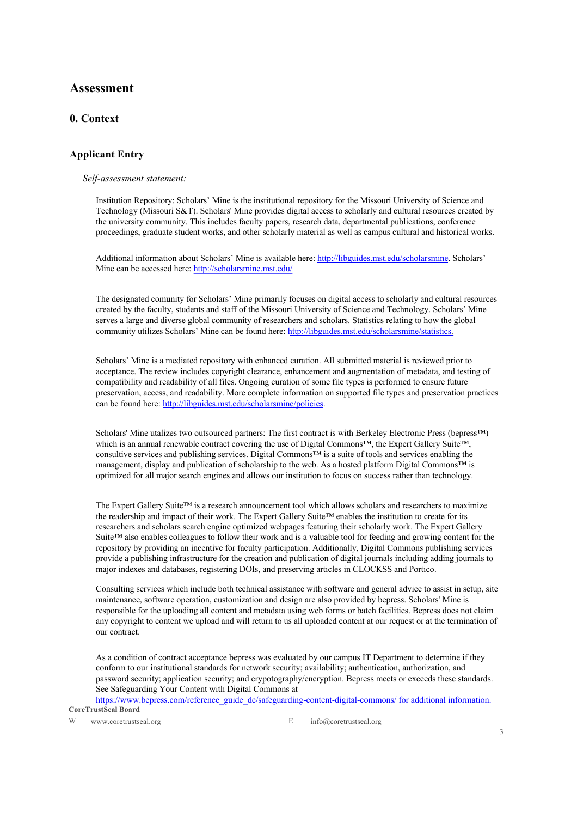# **Assessment**

# **0. Context**

# **Applicant Entry**

#### *Self-assessment statement:*

Institution Repository: Scholars' Mine is the institutional repository for the Missouri University of Science and Technology (Missouri S&T). Scholars' Mine provides digital access to scholarly and cultural resources created by the university community. This includes faculty papers, research data, departmental publications, conference proceedings, graduate student works, and other scholarly material as well as campus cultural and historical works.

Additional information about Scholars' Mine is available here: http://libguides.mst.edu/scholarsmine. Scholars' Mine can be accessed here: http://scholarsmine.mst.edu/

The designated comunity for Scholars' Mine primarily focuses on digital access to scholarly and cultural resources created by the faculty, students and staff of the Missouri University of Science and Technology. Scholars' Mine serves a large and diverse global community of researchers and scholars. Statistics relating to how the global community utilizes Scholars' Mine can be found here: http://libguides.mst.edu/scholarsmine/statistics.

Scholars' Mine is a mediated repository with enhanced curation. All submitted material is reviewed prior to acceptance. The review includes copyright clearance, enhancement and augmentation of metadata, and testing of compatibility and readability of all files. Ongoing curation of some file types is performed to ensure future preservation, access, and readability. More complete information on supported file types and preservation practices can be found here: http://libguides.mst.edu/scholarsmine/policies.

Scholars' Mine utalizes two outsourced partners: The first contract is with Berkeley Electronic Press (bepress™) which is an annual renewable contract covering the use of Digital Commons™, the Expert Gallery Suite™, consultive services and publishing services. Digital Commons™ is a suite of tools and services enabling the management, display and publication of scholarship to the web. As a hosted platform Digital Commons™ is optimized for all major search engines and allows our institution to focus on success rather than technology.

The Expert Gallery Suite™ is a research announcement tool which allows scholars and researchers to maximize the readership and impact of their work. The Expert Gallery Suite™ enables the institution to create for its researchers and scholars search engine optimized webpages featuring their scholarly work. The Expert Gallery Suite™ also enables colleagues to follow their work and is a valuable tool for feeding and growing content for the repository by providing an incentive for faculty participation. Additionally, Digital Commons publishing services provide a publishing infrastructure for the creation and publication of digital journals including adding journals to major indexes and databases, registering DOIs, and preserving articles in CLOCKSS and Portico.

Consulting services which include both technical assistance with software and general advice to assist in setup, site maintenance, software operation, customization and design are also provided by bepress. Scholars' Mine is responsible for the uploading all content and metadata using web forms or batch facilities. Bepress does not claim any copyright to content we upload and will return to us all uploaded content at our request or at the termination of our contract.

As a condition of contract acceptance bepress was evaluated by our campus IT Department to determine if they conform to our institutional standards for network security; availability; authentication, authorization, and password security; application security; and crypotography/encryption. Bepress meets or exceeds these standards. See Safeguarding Your Content with Digital Commons at

**CoreTrustSeal Board** https://www.bepress.com/reference\_guide\_dc/safeguarding-content-digital-commons/ for additional information.

W www.coretrustseal.org E info@coretrustseal.org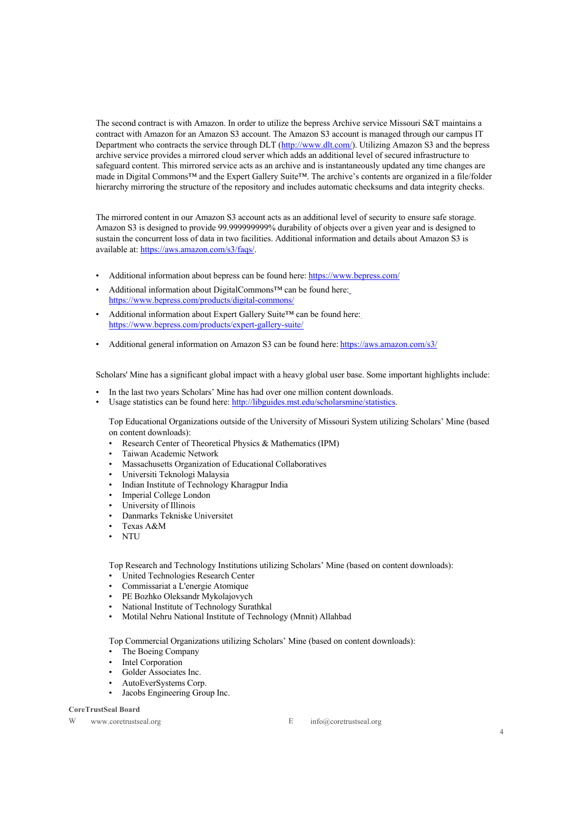The second contract is with Amazon. In order to utilize the bepress Archive service Missouri S&T maintains a contract with Amazon for an Amazon S3 account. The Amazon S3 account is managed through our campus IT Department who contracts the service through DLT (http://www.dlt.com/). Utilizing Amazon S3 and the bepress archive service provides a mirrored cloud server which adds an additional level of secured infrastructure to safeguard content. This mirrored service acts as an archive and is instantaneously updated any time changes are made in Digital Commons™ and the Expert Gallery Suite™. The archive's contents are organized in a file/folder hierarchy mirroring the structure of the repository and includes automatic checksums and data integrity checks.

The mirrored content in our Amazon S3 account acts as an additional level of security to ensure safe storage. Amazon S3 is designed to provide 99.999999999% durability of objects over a given year and is designed to sustain the concurrent loss of data in two facilities. Additional information and details about Amazon S3 is available at: https://aws.amazon.com/s3/faqs/.

- Additional information about bepress can be found here: https://www.bepress.com/
- Additional information about DigitalCommons™ can be found here: https://www.bepress.com/products/digital-commons/
- Additional information about Expert Gallery Suite™ can be found here: https://www.bepress.com/products/expert-gallery-suite/
- Additional general information on Amazon S3 can be found here: https://aws.amazon.com/s3/

Scholars' Mine has a significant global impact with a heavy global user base. Some important highlights include:

- In the last two years Scholars' Mine has had over one million content downloads.
- Usage statistics can be found here: http://libguides.mst.edu/scholarsmine/statistics.

Top Educational Organizations outside of the University of Missouri System utilizing Scholars' Mine (based on content downloads):

- Research Center of Theoretical Physics & Mathematics (IPM)
- Taiwan Academic Network
- Massachusetts Organization of Educational Collaboratives
- Universiti Teknologi Malaysia
- Indian Institute of Technology Kharagpur India
- Imperial College London
- University of Illinois
- Danmarks Tekniske Universitet
- Texas A&M
- NTU

Top Research and Technology Institutions utilizing Scholars' Mine (based on content downloads):

- United Technologies Research Center
- Commissariat a L'energie Atomique
- PE Bozhko Oleksandr Mykolajovych
- National Institute of Technology Surathkal
- Motilal Nehru National Institute of Technology (Mnnit) Allahbad

Top Commercial Organizations utilizing Scholars' Mine (based on content downloads):

- The Boeing Company
- **Intel Corporation**
- Golder Associates Inc.
- AutoEverSystems Corp.
- Jacobs Engineering Group Inc.

#### **CoreTrustSeal Board**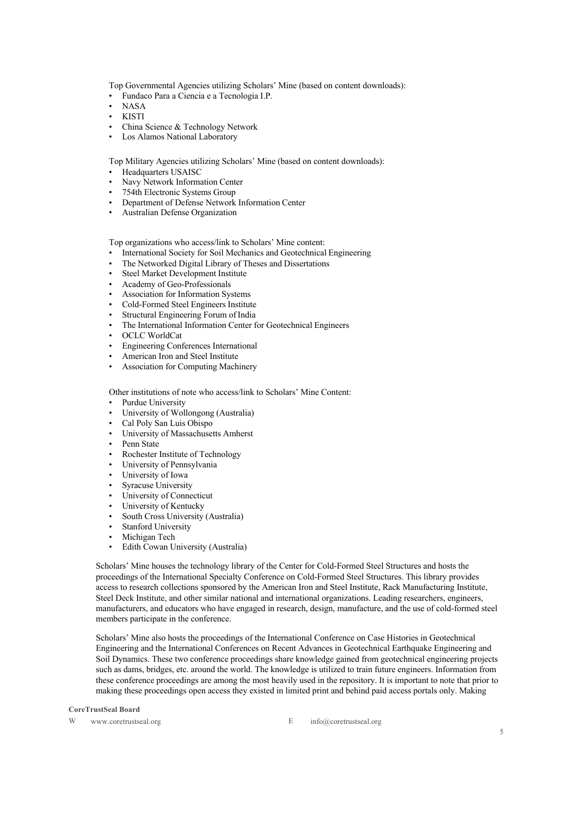Top Governmental Agencies utilizing Scholars' Mine (based on content downloads):

- Fundaco Para a Ciencia e a Tecnologia I.P.
- NASA
- KISTI
- China Science & Technology Network
- Los Alamos National Laboratory

Top Military Agencies utilizing Scholars' Mine (based on content downloads):

- Headquarters USAISC
- Navy Network Information Center
- 754th Electronic Systems Group
- Department of Defense Network Information Center
- Australian Defense Organization

Top organizations who access/link to Scholars' Mine content:

- International Society for Soil Mechanics and Geotechnical Engineering
- The Networked Digital Library of Theses and Dissertations
- Steel Market Development Institute
- Academy of Geo-Professionals
- Association for Information Systems
- Cold-Formed Steel Engineers Institute
- Structural Engineering Forum of India
- The International Information Center for Geotechnical Engineers
- OCLC WorldCat
- Engineering Conferences International
- American Iron and Steel Institute
- Association for Computing Machinery

Other institutions of note who access/link to Scholars' Mine Content:

- Purdue University
- University of Wollongong (Australia)
- Cal Poly San Luis Obispo
- University of Massachusetts Amherst
- Penn State
- Rochester Institute of Technology
- University of Pennsylvania
- University of Iowa
- Syracuse University
- University of Connecticut
- University of Kentucky
- South Cross University (Australia)
- **Stanford University**
- Michigan Tech
- Edith Cowan University (Australia)

Scholars' Mine houses the technology library of the Center for Cold-Formed Steel Structures and hosts the proceedings of the International Specialty Conference on Cold-Formed Steel Structures. This library provides access to research collections sponsored by the American Iron and Steel Institute, Rack Manufacturing Institute, Steel Deck Institute, and other similar national and international organizations. Leading researchers, engineers, manufacturers, and educators who have engaged in research, design, manufacture, and the use of cold-formed steel members participate in the conference.

Scholars' Mine also hosts the proceedings of the International Conference on Case Histories in Geotechnical Engineering and the International Conferences on Recent Advances in Geotechnical Earthquake Engineering and Soil Dynamics. These two conference proceedings share knowledge gained from geotechnical engineering projects such as dams, bridges, etc. around the world. The knowledge is utilized to train future engineers. Information from these conference proceedings are among the most heavily used in the repository. It is important to note that prior to making these proceedings open access they existed in limited print and behind paid access portals only. Making

**CoreTrustSeal Board**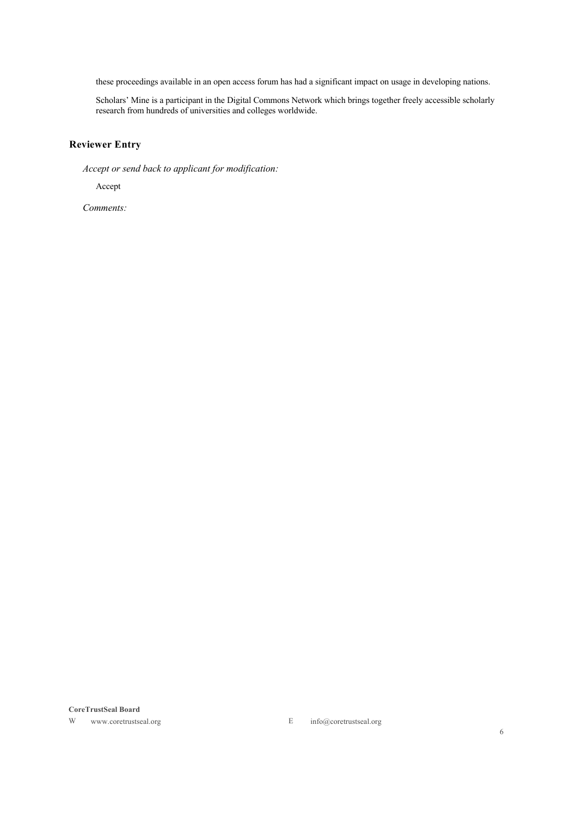these proceedings available in an open access forum has had a significant impact on usage in developing nations.

Scholars' Mine is a participant in the Digital Commons Network which brings together freely accessible scholarly research from hundreds of universities and colleges worldwide.

# **Reviewer Entry**

*Accept or send back to applicant for modification:*

Accept

*Comments:*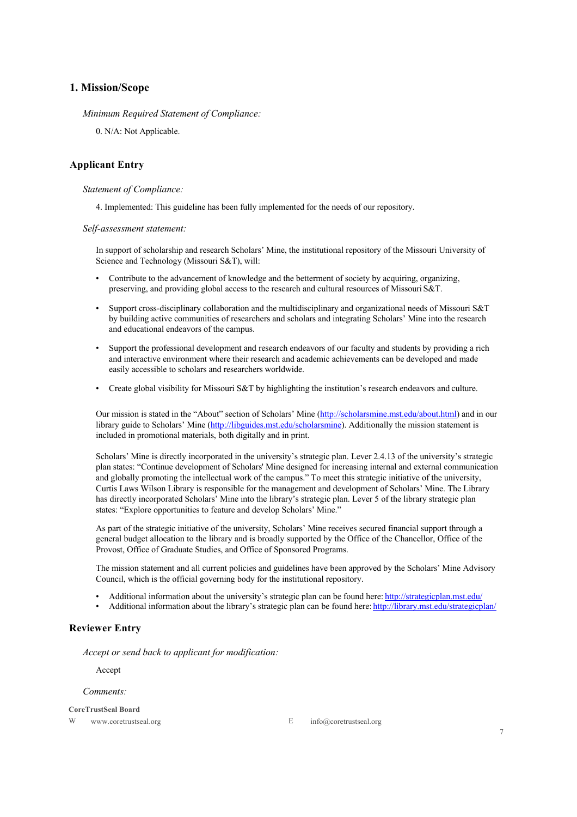### **1. Mission/Scope**

*Minimum Required Statement of Compliance:*

0. N/A: Not Applicable.

### **Applicant Entry**

#### *Statement of Compliance:*

4. Implemented: This guideline has been fully implemented for the needs of our repository.

*Self-assessment statement:*

In support of scholarship and research Scholars' Mine, the institutional repository of the Missouri University of Science and Technology (Missouri S&T), will:

- Contribute to the advancement of knowledge and the betterment of society by acquiring, organizing, preserving, and providing global access to the research and cultural resources of Missouri S&T.
- Support cross-disciplinary collaboration and the multidisciplinary and organizational needs of Missouri S&T by building active communities of researchers and scholars and integrating Scholars' Mine into the research and educational endeavors of the campus.
- Support the professional development and research endeavors of our faculty and students by providing a rich and interactive environment where their research and academic achievements can be developed and made easily accessible to scholars and researchers worldwide.
- Create global visibility for Missouri S&T by highlighting the institution's research endeavors and culture.

Our mission is stated in the "About" section of Scholars' Mine (http://scholarsmine.mst.edu/about.html) and in our library guide to Scholars' Mine (http://libguides.mst.edu/scholarsmine). Additionally the mission statement is included in promotional materials, both digitally and in print.

Scholars' Mine is directly incorporated in the university's strategic plan. Lever 2.4.13 of the university's strategic plan states: "Continue development of Scholars' Mine designed for increasing internal and external communication and globally promoting the intellectual work of the campus." To meet this strategic initiative of the university, Curtis Laws Wilson Library is responsible for the management and development of Scholars' Mine. The Library has directly incorporated Scholars' Mine into the library's strategic plan. Lever 5 of the library strategic plan states: "Explore opportunities to feature and develop Scholars' Mine."

As part of the strategic initiative of the university, Scholars' Mine receives secured financial support through a general budget allocation to the library and is broadly supported by the Office of the Chancellor, Office of the Provost, Office of Graduate Studies, and Office of Sponsored Programs.

The mission statement and all current policies and guidelines have been approved by the Scholars' Mine Advisory Council, which is the official governing body for the institutional repository.

- Additional information about the university's strategic plan can be found here: http://strategicplan.mst.edu/
- Additional information about the library's strategic plan can be found here: http://library.mst.edu/strategicplan/

### **Reviewer Entry**

*Accept or send back to applicant for modification:*

Accept

#### *Comments:*

**CoreTrustSeal Board**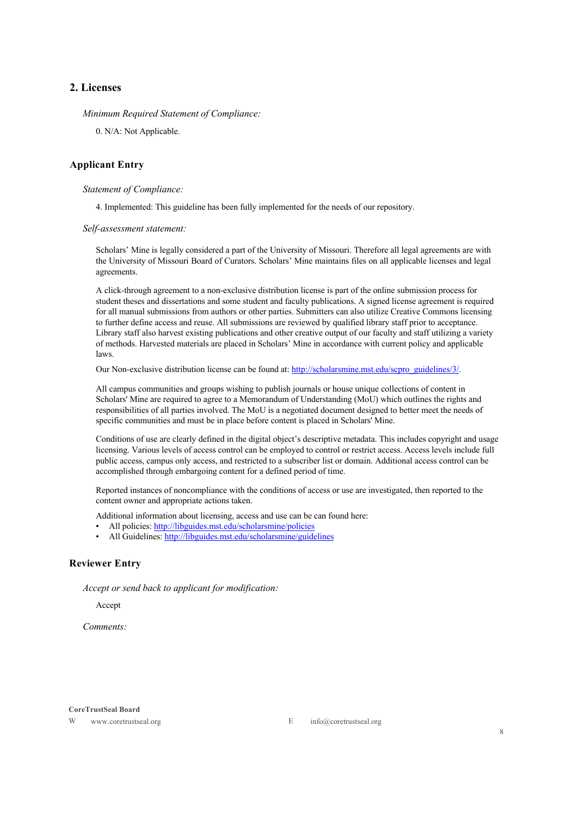# **2. Licenses**

*Minimum Required Statement of Compliance:*

0. N/A: Not Applicable.

### **Applicant Entry**

#### *Statement of Compliance:*

4. Implemented: This guideline has been fully implemented for the needs of our repository.

*Self-assessment statement:*

Scholars' Mine is legally considered a part of the University of Missouri. Therefore all legal agreements are with the University of Missouri Board of Curators. Scholars' Mine maintains files on all applicable licenses and legal agreements.

A click-through agreement to a non-exclusive distribution license is part of the online submission process for student theses and dissertations and some student and faculty publications. A signed license agreement is required for all manual submissions from authors or other parties. Submitters can also utilize Creative Commons licensing to further define access and reuse. All submissions are reviewed by qualified library staff prior to acceptance. Library staff also harvest existing publications and other creative output of our faculty and staff utilizing a variety of methods. Harvested materials are placed in Scholars' Mine in accordance with current policy and applicable laws.

Our Non-exclusive distribution license can be found at: http://scholarsmine.mst.edu/scpro\_guidelines/3/.

All campus communities and groups wishing to publish journals or house unique collections of content in Scholars' Mine are required to agree to a Memorandum of Understanding (MoU) which outlines the rights and responsibilities of all parties involved. The MoU is a negotiated document designed to better meet the needs of specific communities and must be in place before content is placed in Scholars' Mine.

Conditions of use are clearly defined in the digital object's descriptive metadata. This includes copyright and usage licensing. Various levels of access control can be employed to control or restrict access. Access levels include full public access, campus only access, and restricted to a subscriber list or domain. Additional access control can be accomplished through embargoing content for a defined period of time.

Reported instances of noncompliance with the conditions of access or use are investigated, then reported to the content owner and appropriate actions taken.

Additional information about licensing, access and use can be can found here:

- All policies: http://libguides.mst.edu/scholarsmine/policies
- All Guidelines: http://libguides.mst.edu/scholarsmine/guidelines

### **Reviewer Entry**

*Accept or send back to applicant for modification:*

Accept

*Comments:*

#### **CoreTrustSeal Board**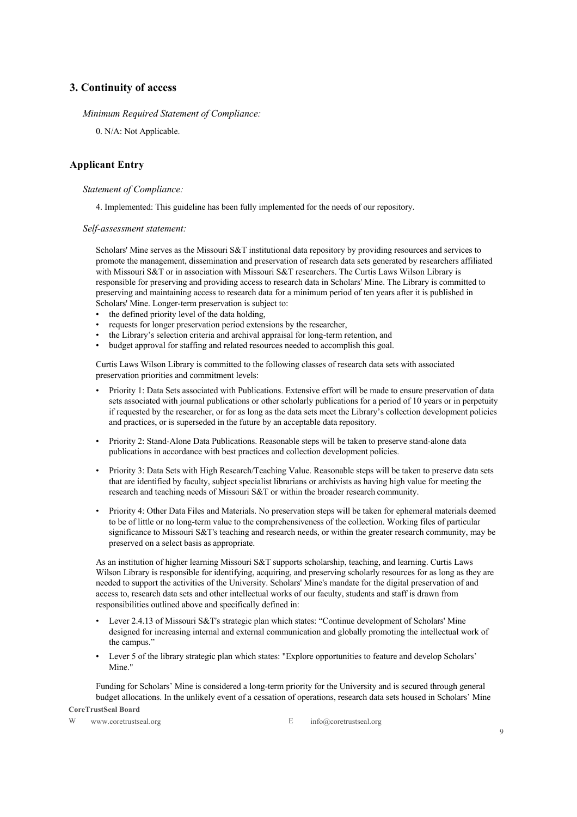### **3. Continuity of access**

#### *Minimum Required Statement of Compliance:*

0. N/A: Not Applicable.

### **Applicant Entry**

### *Statement of Compliance:*

4. Implemented: This guideline has been fully implemented for the needs of our repository.

*Self-assessment statement:*

Scholars' Mine serves as the Missouri S&T institutional data repository by providing resources and services to promote the management, dissemination and preservation of research data sets generated by researchers affiliated with Missouri S&T or in association with Missouri S&T researchers. The Curtis Laws Wilson Library is responsible for preserving and providing access to research data in Scholars' Mine. The Library is committed to preserving and maintaining access to research data for a minimum period of ten years after it is published in Scholars' Mine. Longer-term preservation is subject to:

- the defined priority level of the data holding.
- requests for longer preservation period extensions by the researcher,
- the Library's selection criteria and archival appraisal for long-term retention, and
- budget approval for staffing and related resources needed to accomplish this goal.

Curtis Laws Wilson Library is committed to the following classes of research data sets with associated preservation priorities and commitment levels:

- Priority 1: Data Sets associated with Publications. Extensive effort will be made to ensure preservation of data sets associated with journal publications or other scholarly publications for a period of 10 years or in perpetuity if requested by the researcher, or for as long as the data sets meet the Library's collection development policies and practices, or is superseded in the future by an acceptable data repository.
- Priority 2: Stand-Alone Data Publications. Reasonable steps will be taken to preserve stand-alone data publications in accordance with best practices and collection development policies.
- Priority 3: Data Sets with High Research/Teaching Value. Reasonable steps will be taken to preserve data sets that are identified by faculty, subject specialist librarians or archivists as having high value for meeting the research and teaching needs of Missouri S&T or within the broader research community.
- Priority 4: Other Data Files and Materials. No preservation steps will be taken for ephemeral materials deemed to be of little or no long-term value to the comprehensiveness of the collection. Working files of particular significance to Missouri S&T's teaching and research needs, or within the greater research community, may be preserved on a select basis as appropriate.

As an institution of higher learning Missouri S&T supports scholarship, teaching, and learning. Curtis Laws Wilson Library is responsible for identifying, acquiring, and preserving scholarly resources for as long as they are needed to support the activities of the University. Scholars' Mine's mandate for the digital preservation of and access to, research data sets and other intellectual works of our faculty, students and staff is drawn from responsibilities outlined above and specifically defined in:

- Lever 2.4.13 of Missouri S&T's strategic plan which states: "Continue development of Scholars' Mine designed for increasing internal and external communication and globally promoting the intellectual work of the campus."
- Lever 5 of the library strategic plan which states: "Explore opportunities to feature and develop Scholars' Mine."

Funding for Scholars' Mine is considered a long-term priority for the University and is secured through general budget allocations. In the unlikely event of a cessation of operations, research data sets housed in Scholars' Mine

**CoreTrustSeal Board**

W www.coretrustseal.org E info@coretrustseal.org E info@coretrustseal.org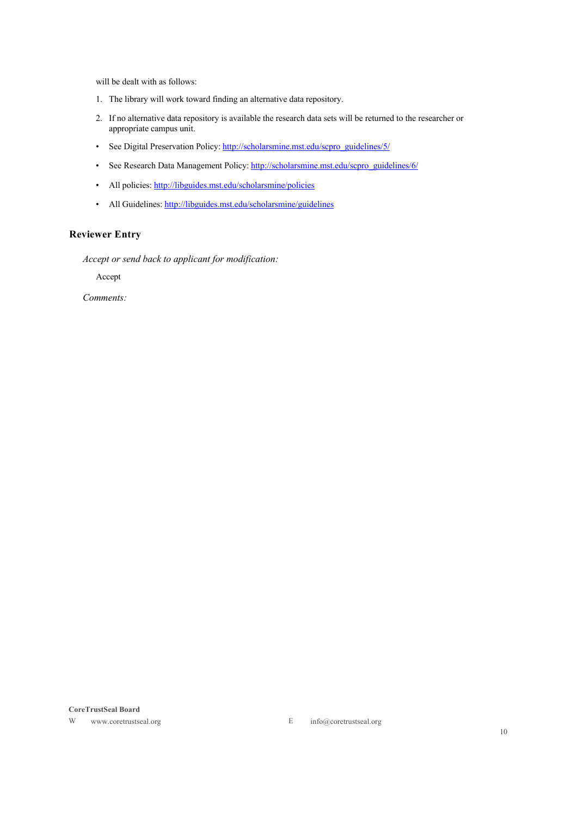will be dealt with as follows:

- 1. The library will work toward finding an alternative data repository.
- 2. If no alternative data repository is available the research data sets will be returned to the researcher or appropriate campus unit.
- See Digital Preservation Policy: http://scholarsmine.mst.edu/scpro\_guidelines/5/
- See Research Data Management Policy: http://scholarsmine.mst.edu/scpro\_guidelines/6/
- All policies: http://libguides.mst.edu/scholarsmine/policies
- All Guidelines: http://libguides.mst.edu/scholarsmine/guidelines

# **Reviewer Entry**

*Accept or send back to applicant for modification:*

Accept

*Comments:*

#### **CoreTrustSeal Board**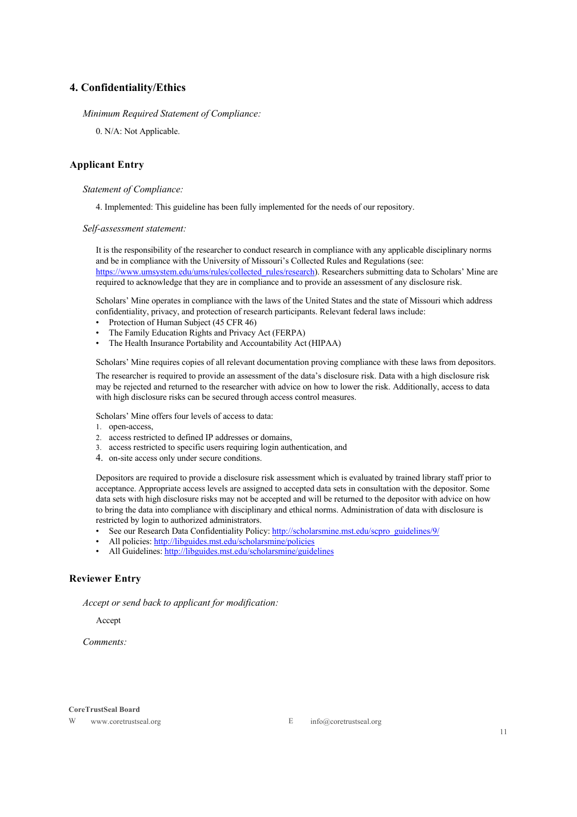### **4. Confidentiality/Ethics**

#### *Minimum Required Statement of Compliance:*

0. N/A: Not Applicable.

### **Applicant Entry**

#### *Statement of Compliance:*

4. Implemented: This guideline has been fully implemented for the needs of our repository.

*Self-assessment statement:*

It is the responsibility of the researcher to conduct research in compliance with any applicable disciplinary norms and be in compliance with the University of Missouri's Collected Rules and Regulations (see: https://www.umsystem.edu/ums/rules/collected\_rules/research). Researchers submitting data to Scholars' Mine are required to acknowledge that they are in compliance and to provide an assessment of any disclosure risk.

Scholars' Mine operates in compliance with the laws of the United States and the state of Missouri which address confidentiality, privacy, and protection of research participants. Relevant federal laws include:

- Protection of Human Subject (45 CFR 46)
- The Family Education Rights and Privacy Act (FERPA)
- The Health Insurance Portability and Accountability Act (HIPAA)

Scholars' Mine requires copies of all relevant documentation proving compliance with these laws from depositors.

The researcher is required to provide an assessment of the data's disclosure risk. Data with a high disclosure risk may be rejected and returned to the researcher with advice on how to lower the risk. Additionally, access to data with high disclosure risks can be secured through access control measures.

Scholars' Mine offers four levels of access to data:

- 1. open-access,
- 2. access restricted to defined IP addresses or domains,
- 3. access restricted to specific users requiring login authentication, and
- 4. on-site access only under secure conditions.

Depositors are required to provide a disclosure risk assessment which is evaluated by trained library staff prior to acceptance. Appropriate access levels are assigned to accepted data sets in consultation with the depositor. Some data sets with high disclosure risks may not be accepted and will be returned to the depositor with advice on how to bring the data into compliance with disciplinary and ethical norms. Administration of data with disclosure is restricted by login to authorized administrators.

- See our Research Data Confidentiality Policy: http://scholarsmine.mst.edu/scpro\_guidelines/9/
- All policies: http://libguides.mst.edu/scholarsmine/policies
- All Guidelines: http://libguides.mst.edu/scholarsmine/guidelines

### **Reviewer Entry**

*Accept or send back to applicant for modification:*

Accept

*Comments:*

#### **CoreTrustSeal Board**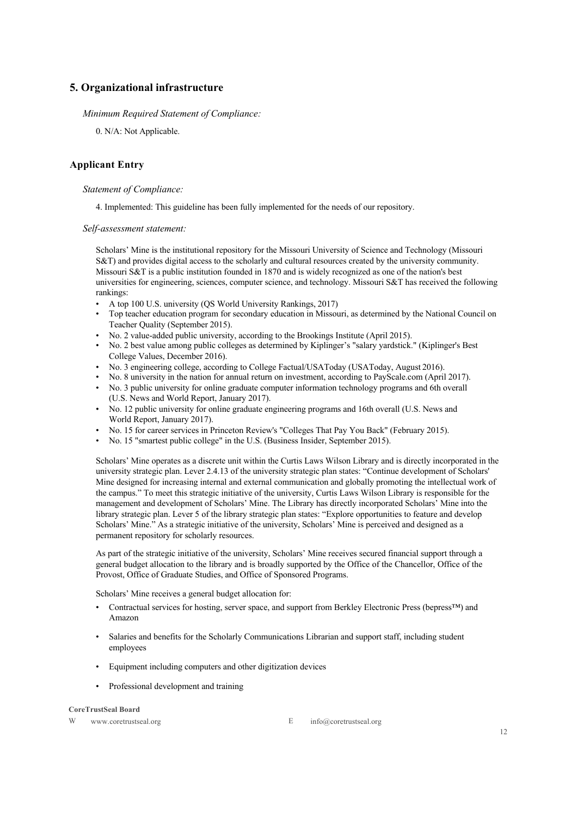# **5. Organizational infrastructure**

### *Minimum Required Statement of Compliance:*

0. N/A: Not Applicable.

# **Applicant Entry**

### *Statement of Compliance:*

4. Implemented: This guideline has been fully implemented for the needs of our repository.

*Self-assessment statement:*

Scholars' Mine is the institutional repository for the Missouri University of Science and Technology (Missouri S&T) and provides digital access to the scholarly and cultural resources created by the university community. Missouri S&T is a public institution founded in 1870 and is widely recognized as one of the nation's best universities for engineering, sciences, computer science, and technology. Missouri S&T has received the following rankings:

- A top 100 U.S. university (QS World University Rankings, 2017)
- Top teacher education program for secondary education in Missouri, as determined by the National Council on Teacher Quality (September 2015).
- No. 2 value-added public university, according to the Brookings Institute (April 2015).
- No. 2 best value among public colleges as determined by Kiplinger's "salary yardstick." (Kiplinger's Best College Values, December 2016).
- No. 3 engineering college, according to College Factual/USAToday (USAToday, August 2016).
- No. 8 university in the nation for annual return on investment, according to PayScale.com (April 2017).
- No. 3 public university for online graduate computer information technology programs and 6th overall (U.S. News and World Report, January 2017).
- No. 12 public university for online graduate engineering programs and 16th overall (U.S. News and World Report, January 2017).
- No. 15 for career services in Princeton Review's "Colleges That Pay You Back" (February 2015).
- No. 15 "smartest public college" in the U.S. (Business Insider, September 2015).

Scholars' Mine operates as a discrete unit within the Curtis Laws Wilson Library and is directly incorporated in the university strategic plan. Lever 2.4.13 of the university strategic plan states: "Continue development of Scholars' Mine designed for increasing internal and external communication and globally promoting the intellectual work of the campus." To meet this strategic initiative of the university, Curtis Laws Wilson Library is responsible for the management and development of Scholars' Mine. The Library has directly incorporated Scholars' Mine into the library strategic plan. Lever 5 of the library strategic plan states: "Explore opportunities to feature and develop Scholars' Mine." As a strategic initiative of the university, Scholars' Mine is perceived and designed as a permanent repository for scholarly resources.

As part of the strategic initiative of the university, Scholars' Mine receives secured financial support through a general budget allocation to the library and is broadly supported by the Office of the Chancellor, Office of the Provost, Office of Graduate Studies, and Office of Sponsored Programs.

Scholars' Mine receives a general budget allocation for:

- Contractual services for hosting, server space, and support from Berkley Electronic Press (bepress™) and Amazon
- Salaries and benefits for the Scholarly Communications Librarian and support staff, including student employees
- Equipment including computers and other digitization devices
- Professional development and training

#### **CoreTrustSeal Board**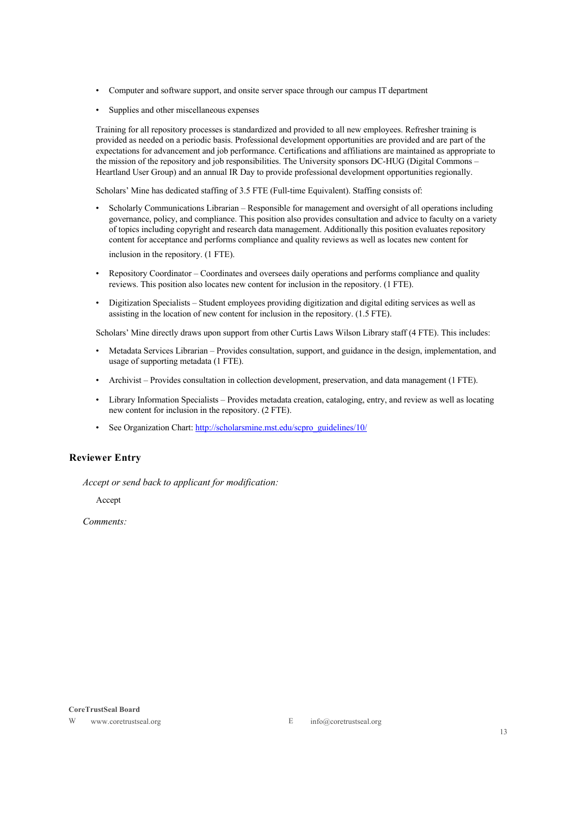- Computer and software support, and onsite server space through our campus IT department
- Supplies and other miscellaneous expenses

Training for all repository processes is standardized and provided to all new employees. Refresher training is provided as needed on a periodic basis. Professional development opportunities are provided and are part of the expectations for advancement and job performance. Certifications and affiliations are maintained as appropriate to the mission of the repository and job responsibilities. The University sponsors DC-HUG (Digital Commons – Heartland User Group) and an annual IR Day to provide professional development opportunities regionally.

Scholars' Mine has dedicated staffing of 3.5 FTE (Full-time Equivalent). Staffing consists of:

- Scholarly Communications Librarian Responsible for management and oversight of all operations including governance, policy, and compliance. This position also provides consultation and advice to faculty on a variety of topics including copyright and research data management. Additionally this position evaluates repository content for acceptance and performs compliance and quality reviews as well as locates new content for inclusion in the repository. (1 FTE).
- Repository Coordinator Coordinates and oversees daily operations and performs compliance and quality reviews. This position also locates new content for inclusion in the repository. (1 FTE).
- Digitization Specialists Student employees providing digitization and digital editing services as well as assisting in the location of new content for inclusion in the repository. (1.5 FTE).

Scholars' Mine directly draws upon support from other Curtis Laws Wilson Library staff (4 FTE). This includes:

- Metadata Services Librarian Provides consultation, support, and guidance in the design, implementation, and usage of supporting metadata (1 FTE).
- Archivist Provides consultation in collection development, preservation, and data management (1 FTE).
- Library Information Specialists Provides metadata creation, cataloging, entry, and review as well as locating new content for inclusion in the repository. (2 FTE).
- See Organization Chart: http://scholarsmine.mst.edu/scpro\_guidelines/10/

### **Reviewer Entry**

*Accept or send back to applicant for modification:*

Accept

*Comments:*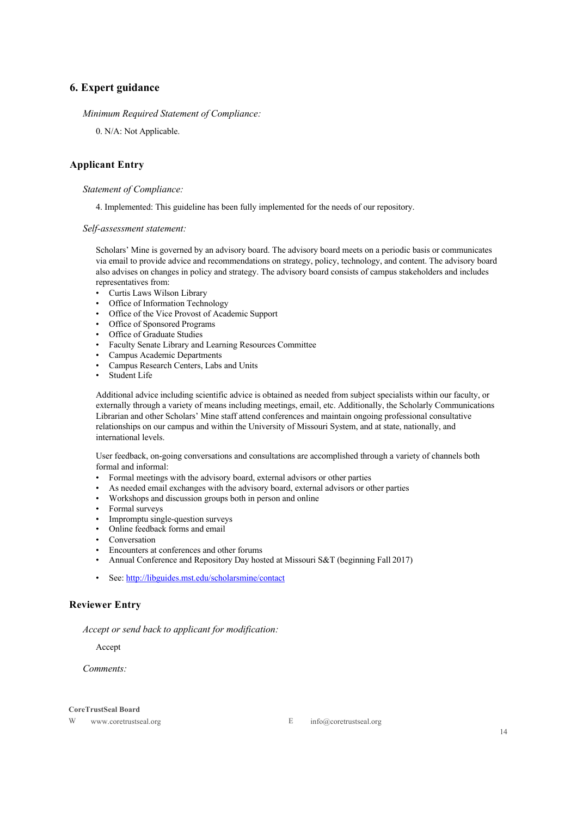# **6. Expert guidance**

#### *Minimum Required Statement of Compliance:*

0. N/A: Not Applicable.

### **Applicant Entry**

#### *Statement of Compliance:*

4. Implemented: This guideline has been fully implemented for the needs of our repository.

*Self-assessment statement:*

Scholars' Mine is governed by an advisory board. The advisory board meets on a periodic basis or communicates via email to provide advice and recommendations on strategy, policy, technology, and content. The advisory board also advises on changes in policy and strategy. The advisory board consists of campus stakeholders and includes representatives from:

- Curtis Laws Wilson Library
- Office of Information Technology
- Office of the Vice Provost of Academic Support
- Office of Sponsored Programs
- Office of Graduate Studies
- Faculty Senate Library and Learning Resources Committee
- Campus Academic Departments
- Campus Research Centers, Labs and Units
- Student Life

Additional advice including scientific advice is obtained as needed from subject specialists within our faculty, or externally through a variety of means including meetings, email, etc. Additionally, the Scholarly Communications Librarian and other Scholars' Mine staff attend conferences and maintain ongoing professional consultative relationships on our campus and within the University of Missouri System, and at state, nationally, and international levels.

User feedback, on-going conversations and consultations are accomplished through a variety of channels both formal and informal:

- Formal meetings with the advisory board, external advisors or other parties
- As needed email exchanges with the advisory board, external advisors or other parties
- Workshops and discussion groups both in person and online
- Formal surveys
- Impromptu single-question surveys
- Online feedback forms and email
- **Conversation**
- Encounters at conferences and other forums
- Annual Conference and Repository Day hosted at Missouri S&T (beginning Fall 2017)
- See: http://libguides.mst.edu/scholarsmine/contact

### **Reviewer Entry**

*Accept or send back to applicant for modification:*

Accept

*Comments:*

#### **CoreTrustSeal Board**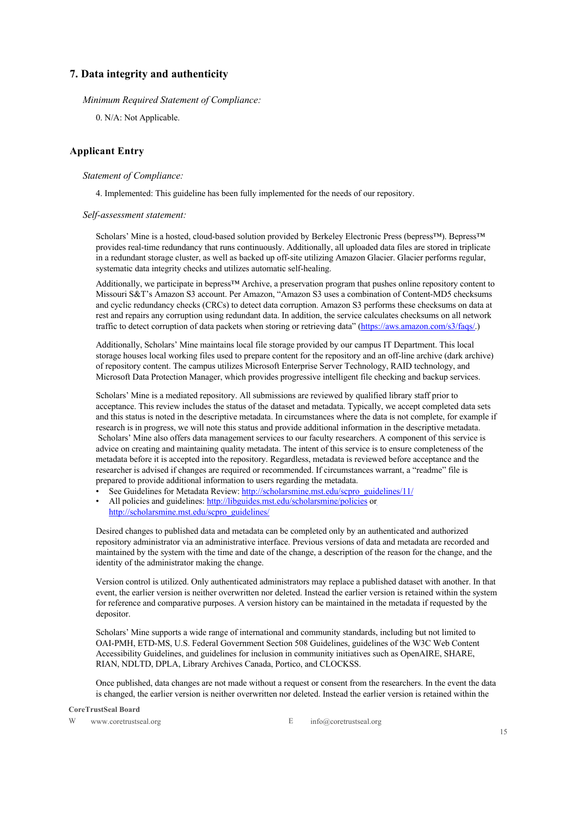## **7. Data integrity and authenticity**

*Minimum Required Statement of Compliance:*

0. N/A: Not Applicable.

### **Applicant Entry**

### *Statement of Compliance:*

4. Implemented: This guideline has been fully implemented for the needs of our repository.

#### *Self-assessment statement:*

Scholars' Mine is a hosted, cloud-based solution provided by Berkeley Electronic Press (bepress™). Bepress™ provides real-time redundancy that runs continuously. Additionally, all uploaded data files are stored in triplicate in a redundant storage cluster, as well as backed up off-site utilizing Amazon Glacier. Glacier performs regular, systematic data integrity checks and utilizes automatic self-healing.

Additionally, we participate in bepress™ Archive, a preservation program that pushes online repository content to Missouri S&T's Amazon S3 account. Per Amazon, "Amazon S3 uses a combination of Content-MD5 checksums and cyclic redundancy checks (CRCs) to detect data corruption. Amazon S3 performs these checksums on data at rest and repairs any corruption using redundant data. In addition, the service calculates checksums on all network traffic to detect corruption of data packets when storing or retrieving data" (https://aws.amazon.com/s3/faqs/.)

Additionally, Scholars' Mine maintains local file storage provided by our campus IT Department. This local storage houses local working files used to prepare content for the repository and an off-line archive (dark archive) of repository content. The campus utilizes Microsoft Enterprise Server Technology, RAID technology, and Microsoft Data Protection Manager, which provides progressive intelligent file checking and backup services.

Scholars' Mine is a mediated repository. All submissions are reviewed by qualified library staff prior to acceptance. This review includes the status of the dataset and metadata. Typically, we accept completed data sets and this status is noted in the descriptive metadata. In circumstances where the data is not complete, for example if research is in progress, we will note this status and provide additional information in the descriptive metadata. Scholars' Mine also offers data management services to our faculty researchers. A component of this service is advice on creating and maintaining quality metadata. The intent of this service is to ensure completeness of the metadata before it is accepted into the repository. Regardless, metadata is reviewed before acceptance and the researcher is advised if changes are required or recommended. If circumstances warrant, a "readme" file is prepared to provide additional information to users regarding the metadata.

- See Guidelines for Metadata Review: http://scholarsmine.mst.edu/scpro\_guidelines/11/
- All policies and guidelines: http://libguides.mst.edu/scholarsmine/policies or http://scholarsmine.mst.edu/scpro\_guidelines/

Desired changes to published data and metadata can be completed only by an authenticated and authorized repository administrator via an administrative interface. Previous versions of data and metadata are recorded and maintained by the system with the time and date of the change, a description of the reason for the change, and the identity of the administrator making the change.

Version control is utilized. Only authenticated administrators may replace a published dataset with another. In that event, the earlier version is neither overwritten nor deleted. Instead the earlier version is retained within the system for reference and comparative purposes. A version history can be maintained in the metadata if requested by the depositor.

Scholars' Mine supports a wide range of international and community standards, including but not limited to OAI-PMH, ETD-MS, U.S. Federal Government Section 508 Guidelines, guidelines of the W3C Web Content Accessibility Guidelines, and guidelines for inclusion in community initiatives such as OpenAIRE, SHARE, RIAN, NDLTD, DPLA, Library Archives Canada, Portico, and CLOCKSS.

Once published, data changes are not made without a request or consent from the researchers. In the event the data is changed, the earlier version is neither overwritten nor deleted. Instead the earlier version is retained within the

**CoreTrustSeal Board**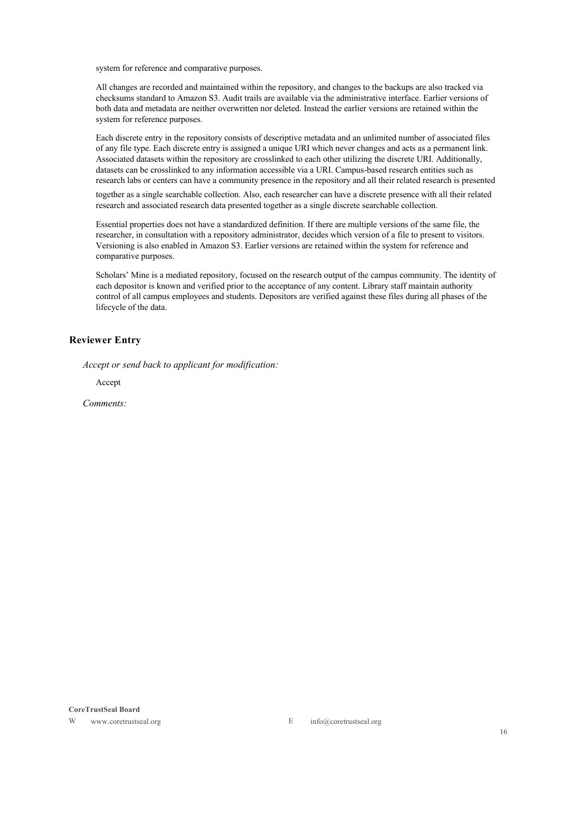system for reference and comparative purposes.

All changes are recorded and maintained within the repository, and changes to the backups are also tracked via checksums standard to Amazon S3. Audit trails are available via the administrative interface. Earlier versions of both data and metadata are neither overwritten nor deleted. Instead the earlier versions are retained within the system for reference purposes.

Each discrete entry in the repository consists of descriptive metadata and an unlimited number of associated files of any file type. Each discrete entry is assigned a unique URI which never changes and acts as a permanent link. Associated datasets within the repository are crosslinked to each other utilizing the discrete URI. Additionally, datasets can be crosslinked to any information accessible via a URI. Campus-based research entities such as research labs or centers can have a community presence in the repository and all their related research is presented

together as a single searchable collection. Also, each researcher can have a discrete presence with all their related research and associated research data presented together as a single discrete searchable collection.

Essential properties does not have a standardized definition. If there are multiple versions of the same file, the researcher, in consultation with a repository administrator, decides which version of a file to present to visitors. Versioning is also enabled in Amazon S3. Earlier versions are retained within the system for reference and comparative purposes.

Scholars' Mine is a mediated repository, focused on the research output of the campus community. The identity of each depositor is known and verified prior to the acceptance of any content. Library staff maintain authority control of all campus employees and students. Depositors are verified against these files during all phases of the lifecycle of the data.

### **Reviewer Entry**

*Accept or send back to applicant for modification:*

Accept

*Comments:*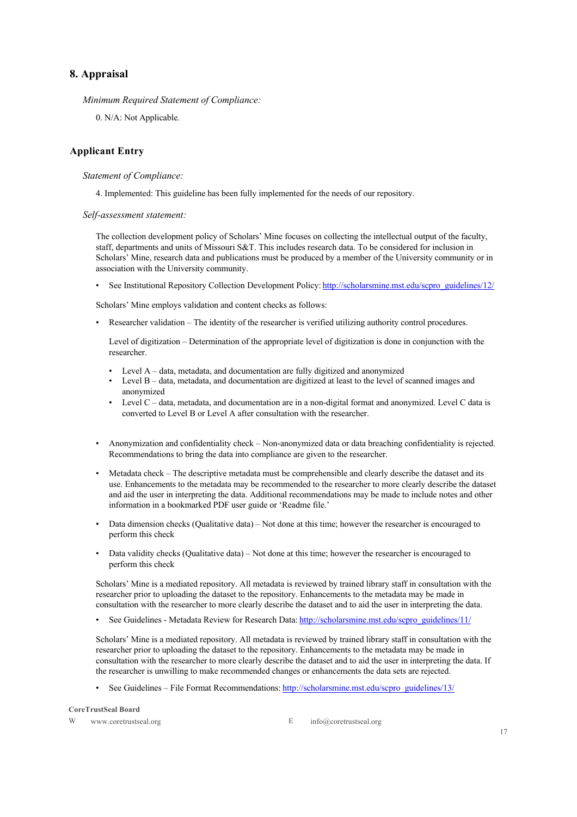# **8. Appraisal**

*Minimum Required Statement of Compliance:*

0. N/A: Not Applicable.

### **Applicant Entry**

### *Statement of Compliance:*

4. Implemented: This guideline has been fully implemented for the needs of our repository.

#### *Self-assessment statement:*

The collection development policy of Scholars' Mine focuses on collecting the intellectual output of the faculty, staff, departments and units of Missouri S&T. This includes research data. To be considered for inclusion in Scholars' Mine, research data and publications must be produced by a member of the University community or in association with the University community.

• See Institutional Repository Collection Development Policy: http://scholarsmine.mst.edu/scpro\_guidelines/12/

Scholars' Mine employs validation and content checks as follows:

• Researcher validation – The identity of the researcher is verified utilizing authority control procedures.

Level of digitization – Determination of the appropriate level of digitization is done in conjunction with the researcher.

- Level A data, metadata, and documentation are fully digitized and anonymized
- Level B data, metadata, and documentation are digitized at least to the level of scanned images and anonymized
- Level C data, metadata, and documentation are in a non-digital format and anonymized. Level C data is converted to Level B or Level A after consultation with the researcher.
- Anonymization and confidentiality check Non-anonymized data or data breaching confidentiality is rejected. Recommendations to bring the data into compliance are given to the researcher.
- Metadata check The descriptive metadata must be comprehensible and clearly describe the dataset and its use. Enhancements to the metadata may be recommended to the researcher to more clearly describe the dataset and aid the user in interpreting the data. Additional recommendations may be made to include notes and other information in a bookmarked PDF user guide or 'Readme file.'
- Data dimension checks (Qualitative data) Not done at this time; however the researcher is encouraged to perform this check
- Data validity checks (Qualitative data) Not done at this time; however the researcher is encouraged to perform this check

Scholars' Mine is a mediated repository. All metadata is reviewed by trained library staff in consultation with the researcher prior to uploading the dataset to the repository. Enhancements to the metadata may be made in consultation with the researcher to more clearly describe the dataset and to aid the user in interpreting the data.

• See Guidelines - Metadata Review for Research Data: http://scholarsmine.mst.edu/scpro\_guidelines/11/

Scholars' Mine is a mediated repository. All metadata is reviewed by trained library staff in consultation with the researcher prior to uploading the dataset to the repository. Enhancements to the metadata may be made in consultation with the researcher to more clearly describe the dataset and to aid the user in interpreting the data. If the researcher is unwilling to make recommended changes or enhancements the data sets are rejected.

• See Guidelines – File Format Recommendations: http://scholarsmine.mst.edu/scpro\_guidelines/13/

**CoreTrustSeal Board**

W www.coretrustseal.org E info@coretrustseal.org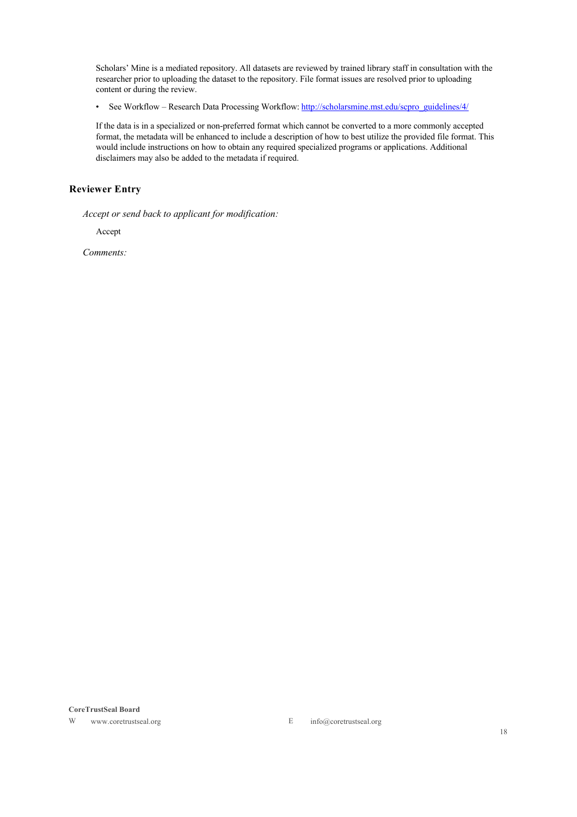Scholars' Mine is a mediated repository. All datasets are reviewed by trained library staff in consultation with the researcher prior to uploading the dataset to the repository. File format issues are resolved prior to uploading content or during the review.

• See Workflow – Research Data Processing Workflow: http://scholarsmine.mst.edu/scpro\_guidelines/4/

If the data is in a specialized or non-preferred format which cannot be converted to a more commonly accepted format, the metadata will be enhanced to include a description of how to best utilize the provided file format. This would include instructions on how to obtain any required specialized programs or applications. Additional disclaimers may also be added to the metadata if required.

# **Reviewer Entry**

*Accept or send back to applicant for modification:*

Accept

*Comments:*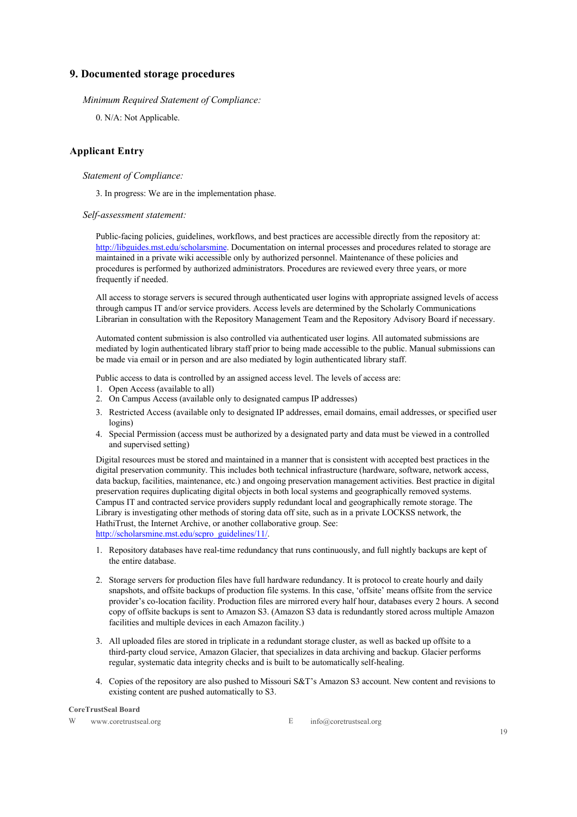# **9. Documented storage procedures**

*Minimum Required Statement of Compliance:*

0. N/A: Not Applicable.

### **Applicant Entry**

### *Statement of Compliance:*

3. In progress: We are in the implementation phase.

#### *Self-assessment statement:*

Public-facing policies, guidelines, workflows, and best practices are accessible directly from the repository at: http://libguides.mst.edu/scholarsmine. Documentation on internal processes and procedures related to storage are maintained in a private wiki accessible only by authorized personnel. Maintenance of these policies and procedures is performed by authorized administrators. Procedures are reviewed every three years, or more frequently if needed.

All access to storage servers is secured through authenticated user logins with appropriate assigned levels of access through campus IT and/or service providers. Access levels are determined by the Scholarly Communications Librarian in consultation with the Repository Management Team and the Repository Advisory Board if necessary.

Automated content submission is also controlled via authenticated user logins. All automated submissions are mediated by login authenticated library staff prior to being made accessible to the public. Manual submissions can be made via email or in person and are also mediated by login authenticated library staff.

Public access to data is controlled by an assigned access level. The levels of access are:

- 1. Open Access (available to all)
- 2. On Campus Access (available only to designated campus IP addresses)
- 3. Restricted Access (available only to designated IP addresses, email domains, email addresses, or specified user logins)
- 4. Special Permission (access must be authorized by a designated party and data must be viewed in a controlled and supervised setting)

Digital resources must be stored and maintained in a manner that is consistent with accepted best practices in the digital preservation community. This includes both technical infrastructure (hardware, software, network access, data backup, facilities, maintenance, etc.) and ongoing preservation management activities. Best practice in digital preservation requires duplicating digital objects in both local systems and geographically removed systems. Campus IT and contracted service providers supply redundant local and geographically remote storage. The Library is investigating other methods of storing data off site, such as in a private LOCKSS network, the HathiTrust, the Internet Archive, or another collaborative group. See: http://scholarsmine.mst.edu/scpro\_guidelines/11/.

- 1. Repository databases have real-time redundancy that runs continuously, and full nightly backups are kept of the entire database.
- 2. Storage servers for production files have full hardware redundancy. It is protocol to create hourly and daily snapshots, and offsite backups of production file systems. In this case, 'offsite' means offsite from the service provider's co-location facility. Production files are mirrored every half hour, databases every 2 hours. A second copy of offsite backups is sent to Amazon S3. (Amazon S3 data is redundantly stored across multiple Amazon facilities and multiple devices in each Amazon facility.)
- 3. All uploaded files are stored in triplicate in a redundant storage cluster, as well as backed up offsite to a third-party cloud service, Amazon Glacier, that specializes in data archiving and backup. Glacier performs regular, systematic data integrity checks and is built to be automatically self-healing.
- 4. Copies of the repository are also pushed to Missouri S&T's Amazon S3 account. New content and revisions to existing content are pushed automatically to S3.

#### **CoreTrustSeal Board**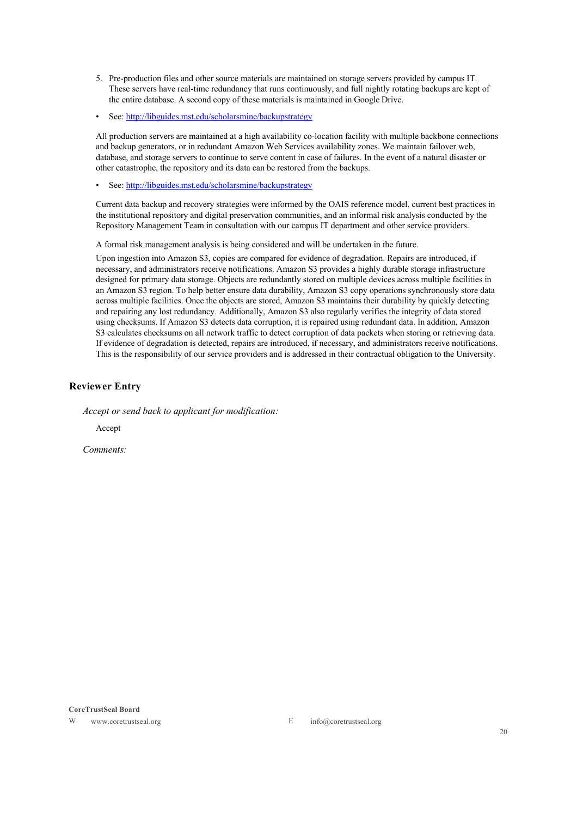- 5. Pre-production files and other source materials are maintained on storage servers provided by campus IT. These servers have real-time redundancy that runs continuously, and full nightly rotating backups are kept of the entire database. A second copy of these materials is maintained in Google Drive.
- See: http://libguides.mst.edu/scholarsmine/backupstrategy

All production servers are maintained at a high availability co-location facility with multiple backbone connections and backup generators, or in redundant Amazon Web Services availability zones. We maintain failover web, database, and storage servers to continue to serve content in case of failures. In the event of a natural disaster or other catastrophe, the repository and its data can be restored from the backups.

• See: http://libguides.mst.edu/scholarsmine/backupstrategy

Current data backup and recovery strategies were informed by the OAIS reference model, current best practices in the institutional repository and digital preservation communities, and an informal risk analysis conducted by the Repository Management Team in consultation with our campus IT department and other service providers.

A formal risk management analysis is being considered and will be undertaken in the future.

Upon ingestion into Amazon S3, copies are compared for evidence of degradation. Repairs are introduced, if necessary, and administrators receive notifications. Amazon S3 provides a highly durable storage infrastructure designed for primary data storage. Objects are redundantly stored on multiple devices across multiple facilities in an Amazon S3 region. To help better ensure data durability, Amazon S3 copy operations synchronously store data across multiple facilities. Once the objects are stored, Amazon S3 maintains their durability by quickly detecting and repairing any lost redundancy. Additionally, Amazon S3 also regularly verifies the integrity of data stored using checksums. If Amazon S3 detects data corruption, it is repaired using redundant data. In addition, Amazon S3 calculates checksums on all network traffic to detect corruption of data packets when storing or retrieving data. If evidence of degradation is detected, repairs are introduced, if necessary, and administrators receive notifications. This is the responsibility of our service providers and is addressed in their contractual obligation to the University.

### **Reviewer Entry**

*Accept or send back to applicant for modification:*

Accept

*Comments:*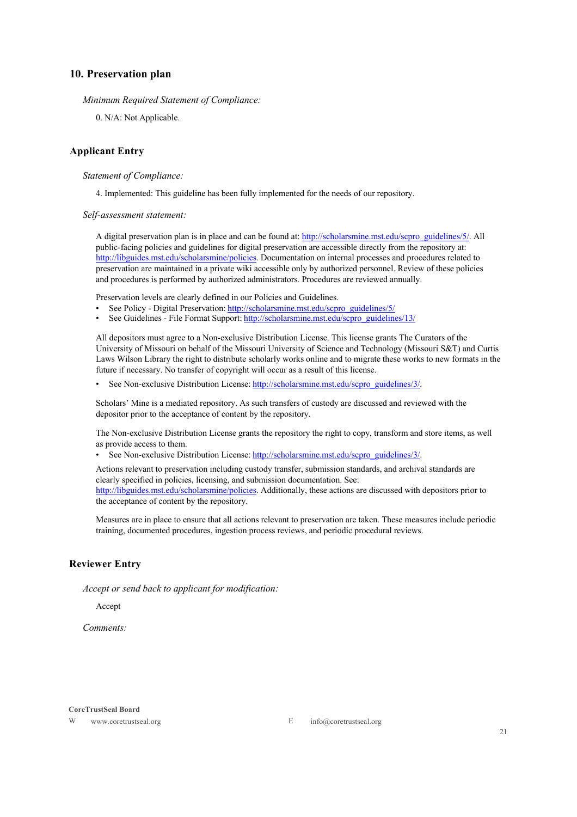### **10. Preservation plan**

*Minimum Required Statement of Compliance:*

0. N/A: Not Applicable.

### **Applicant Entry**

*Statement of Compliance:*

4. Implemented: This guideline has been fully implemented for the needs of our repository.

*Self-assessment statement:*

A digital preservation plan is in place and can be found at: http://scholarsmine.mst.edu/scpro\_guidelines/5/. All public-facing policies and guidelines for digital preservation are accessible directly from the repository at: http://libguides.mst.edu/scholarsmine/policies. Documentation on internal processes and procedures related to preservation are maintained in a private wiki accessible only by authorized personnel. Review of these policies and procedures is performed by authorized administrators. Procedures are reviewed annually.

Preservation levels are clearly defined in our Policies and Guidelines.

- See Policy Digital Preservation: http://scholarsmine.mst.edu/scpro\_guidelines/5/
- See Guidelines File Format Support: http://scholarsmine.mst.edu/scpro\_guidelines/13/

All depositors must agree to a Non-exclusive Distribution License. This license grants The Curators of the University of Missouri on behalf of the Missouri University of Science and Technology (Missouri S&T) and Curtis Laws Wilson Library the right to distribute scholarly works online and to migrate these works to new formats in the future if necessary. No transfer of copyright will occur as a result of this license.

• See Non-exclusive Distribution License: http://scholarsmine.mst.edu/scpro\_guidelines/3/.

Scholars' Mine is a mediated repository. As such transfers of custody are discussed and reviewed with the depositor prior to the acceptance of content by the repository.

The Non-exclusive Distribution License grants the repository the right to copy, transform and store items, as well as provide access to them.

• See Non-exclusive Distribution License: http://scholarsmine.mst.edu/scpro\_guidelines/3/.

Actions relevant to preservation including custody transfer, submission standards, and archival standards are clearly specified in policies, licensing, and submission documentation. See: http://libguides.mst.edu/scholarsmine/policies. Additionally, these actions are discussed with depositors prior to the acceptance of content by the repository.

Measures are in place to ensure that all actions relevant to preservation are taken. These measures include periodic training, documented procedures, ingestion process reviews, and periodic procedural reviews.

### **Reviewer Entry**

*Accept or send back to applicant for modification:*

Accept

*Comments:*

#### **CoreTrustSeal Board**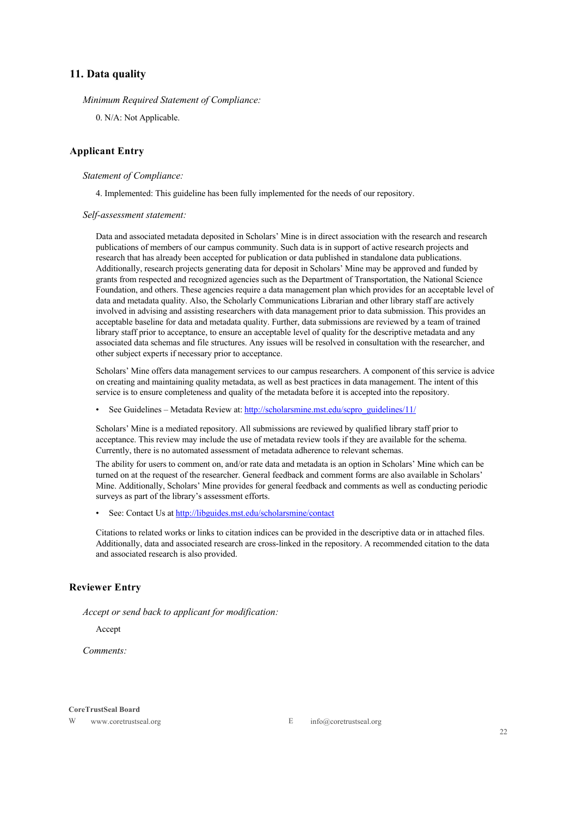### **11. Data quality**

*Minimum Required Statement of Compliance:*

0. N/A: Not Applicable.

### **Applicant Entry**

### *Statement of Compliance:*

4. Implemented: This guideline has been fully implemented for the needs of our repository.

#### *Self-assessment statement:*

Data and associated metadata deposited in Scholars' Mine is in direct association with the research and research publications of members of our campus community. Such data is in support of active research projects and research that has already been accepted for publication or data published in standalone data publications. Additionally, research projects generating data for deposit in Scholars' Mine may be approved and funded by grants from respected and recognized agencies such as the Department of Transportation, the National Science Foundation, and others. These agencies require a data management plan which provides for an acceptable level of data and metadata quality. Also, the Scholarly Communications Librarian and other library staff are actively involved in advising and assisting researchers with data management prior to data submission. This provides an acceptable baseline for data and metadata quality. Further, data submissions are reviewed by a team of trained library staff prior to acceptance, to ensure an acceptable level of quality for the descriptive metadata and any associated data schemas and file structures. Any issues will be resolved in consultation with the researcher, and other subject experts if necessary prior to acceptance.

Scholars' Mine offers data management services to our campus researchers. A component of this service is advice on creating and maintaining quality metadata, as well as best practices in data management. The intent of this service is to ensure completeness and quality of the metadata before it is accepted into the repository.

• See Guidelines – Metadata Review at: http://scholarsmine.mst.edu/scpro\_guidelines/11/

Scholars' Mine is a mediated repository. All submissions are reviewed by qualified library staff prior to acceptance. This review may include the use of metadata review tools if they are available for the schema. Currently, there is no automated assessment of metadata adherence to relevant schemas.

The ability for users to comment on, and/or rate data and metadata is an option in Scholars' Mine which can be turned on at the request of the researcher. General feedback and comment forms are also available in Scholars' Mine. Additionally, Scholars' Mine provides for general feedback and comments as well as conducting periodic surveys as part of the library's assessment efforts.

• See: Contact Us at http://libguides.mst.edu/scholarsmine/contact

Citations to related works or links to citation indices can be provided in the descriptive data or in attached files. Additionally, data and associated research are cross-linked in the repository. A recommended citation to the data and associated research is also provided.

### **Reviewer Entry**

*Accept or send back to applicant for modification:*

Accept

*Comments:*

#### **CoreTrustSeal Board**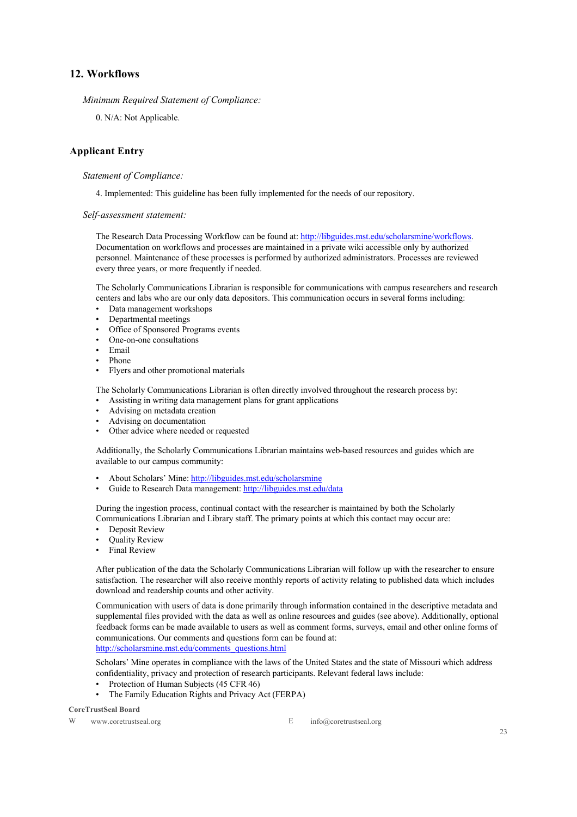### **12. Workflows**

*Minimum Required Statement of Compliance:*

0. N/A: Not Applicable.

### **Applicant Entry**

### *Statement of Compliance:*

4. Implemented: This guideline has been fully implemented for the needs of our repository.

### *Self-assessment statement:*

The Research Data Processing Workflow can be found at: http://libguides.mst.edu/scholarsmine/workflows. Documentation on workflows and processes are maintained in a private wiki accessible only by authorized personnel. Maintenance of these processes is performed by authorized administrators. Processes are reviewed every three years, or more frequently if needed.

The Scholarly Communications Librarian is responsible for communications with campus researchers and research centers and labs who are our only data depositors. This communication occurs in several forms including:

- Data management workshops
- Departmental meetings
- Office of Sponsored Programs events
- One-on-one consultations
- Email
- Phone
- Flyers and other promotional materials

The Scholarly Communications Librarian is often directly involved throughout the research process by:

- Assisting in writing data management plans for grant applications
- Advising on metadata creation
- Advising on documentation
- Other advice where needed or requested

Additionally, the Scholarly Communications Librarian maintains web-based resources and guides which are available to our campus community:

- About Scholars' Mine: http://libguides.mst.edu/scholarsmine
- Guide to Research Data management: http://libguides.mst.edu/data

During the ingestion process, continual contact with the researcher is maintained by both the Scholarly Communications Librarian and Library staff. The primary points at which this contact may occur are:

- Deposit Review
- Quality Review
- Final Review

After publication of the data the Scholarly Communications Librarian will follow up with the researcher to ensure satisfaction. The researcher will also receive monthly reports of activity relating to published data which includes download and readership counts and other activity.

Communication with users of data is done primarily through information contained in the descriptive metadata and supplemental files provided with the data as well as online resources and guides (see above). Additionally, optional feedback forms can be made available to users as well as comment forms, surveys, email and other online forms of communications. Our comments and questions form can be found at: http://scholarsmine.mst.edu/comments\_questions.html

Scholars' Mine operates in compliance with the laws of the United States and the state of Missouri which address confidentiality, privacy and protection of research participants. Relevant federal laws include:

- Protection of Human Subjects (45 CFR 46)
- The Family Education Rights and Privacy Act (FERPA)

**CoreTrustSeal Board**

W www.coretrustseal.org E info@coretrustseal.org

23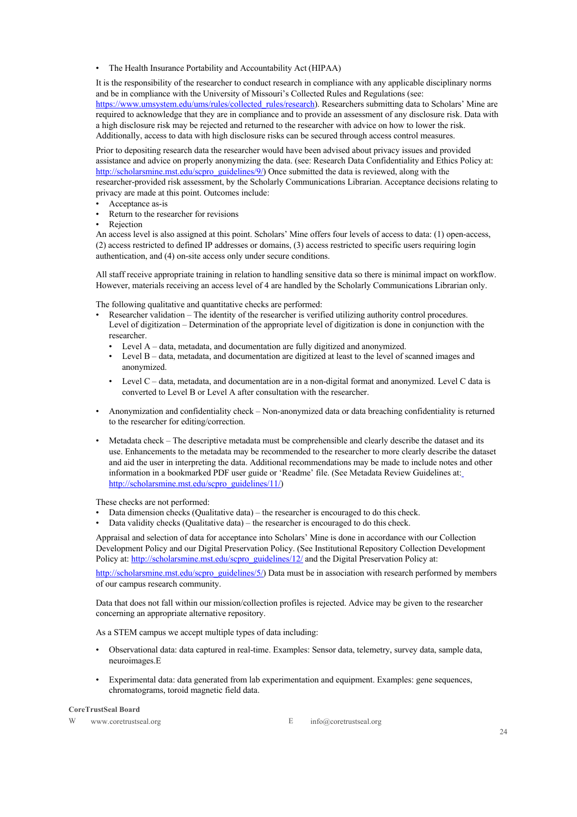• The Health Insurance Portability and Accountability Act (HIPAA)

It is the responsibility of the researcher to conduct research in compliance with any applicable disciplinary norms and be in compliance with the University of Missouri's Collected Rules and Regulations (see: https://www.umsystem.edu/ums/rules/collected\_rules/research). Researchers submitting data to Scholars' Mine are required to acknowledge that they are in compliance and to provide an assessment of any disclosure risk. Data with a high disclosure risk may be rejected and returned to the researcher with advice on how to lower the risk. Additionally, access to data with high disclosure risks can be secured through access control measures.

Prior to depositing research data the researcher would have been advised about privacy issues and provided assistance and advice on properly anonymizing the data. (see: Research Data Confidentiality and Ethics Policy at: http://scholarsmine.mst.edu/scpro\_guidelines/9/) Once submitted the data is reviewed, along with the researcher-provided risk assessment, by the Scholarly Communications Librarian. Acceptance decisions relating to privacy are made at this point. Outcomes include:

- Acceptance as-is
- Return to the researcher for revisions
- **Rejection**

An access level is also assigned at this point. Scholars' Mine offers four levels of access to data: (1) open-access, (2) access restricted to defined IP addresses or domains, (3) access restricted to specific users requiring login authentication, and (4) on-site access only under secure conditions.

All staff receive appropriate training in relation to handling sensitive data so there is minimal impact on workflow. However, materials receiving an access level of 4 are handled by the Scholarly Communications Librarian only.

The following qualitative and quantitative checks are performed:

- Researcher validation The identity of the researcher is verified utilizing authority control procedures. Level of digitization – Determination of the appropriate level of digitization is done in conjunction with the researcher.
	- Level A data, metadata, and documentation are fully digitized and anonymized.
	- Level B data, metadata, and documentation are digitized at least to the level of scanned images and anonymized.
	- Level C data, metadata, and documentation are in a non-digital format and anonymized. Level C data is converted to Level B or Level A after consultation with the researcher.
- Anonymization and confidentiality check Non-anonymized data or data breaching confidentiality is returned to the researcher for editing/correction.
- Metadata check The descriptive metadata must be comprehensible and clearly describe the dataset and its use. Enhancements to the metadata may be recommended to the researcher to more clearly describe the dataset and aid the user in interpreting the data. Additional recommendations may be made to include notes and other information in a bookmarked PDF user guide or 'Readme' file. (See Metadata Review Guidelines at: http://scholarsmine.mst.edu/scpro\_guidelines/11/)

These checks are not performed:

- Data dimension checks (Qualitative data) the researcher is encouraged to do this check.
- Data validity checks (Qualitative data) the researcher is encouraged to do this check.

Appraisal and selection of data for acceptance into Scholars' Mine is done in accordance with our Collection Development Policy and our Digital Preservation Policy. (See Institutional Repository Collection Development Policy at: http://scholarsmine.mst.edu/scpro\_guidelines/12/ and the Digital Preservation Policy at:

http://scholarsmine.mst.edu/scpro\_guidelines/5/) Data must be in association with research performed by members of our campus research community.

Data that does not fall within our mission/collection profiles is rejected. Advice may be given to the researcher concerning an appropriate alternative repository.

As a STEM campus we accept multiple types of data including:

- Observational data: data captured in real-time. Examples: Sensor data, telemetry, survey data, sample data, neuroimages.E
- Experimental data: data generated from lab experimentation and equipment. Examples: gene sequences, chromatograms, toroid magnetic field data.

#### **CoreTrustSeal Board**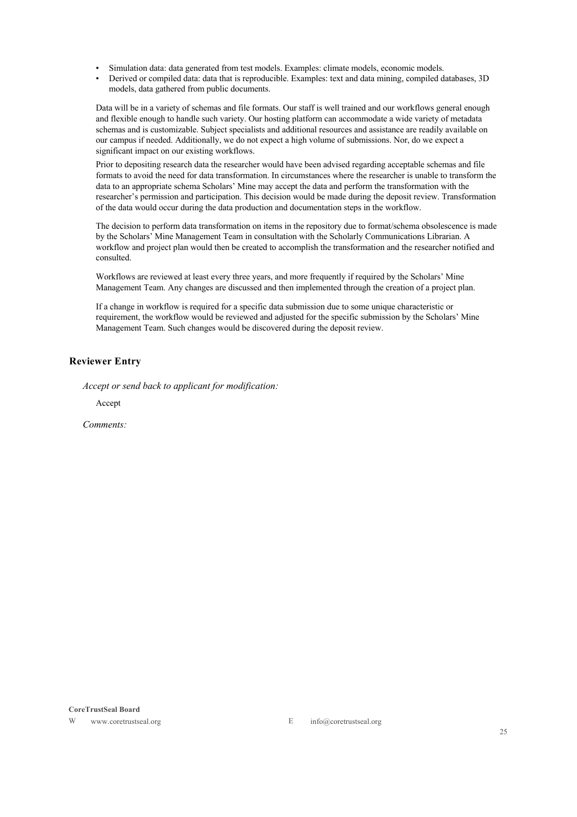- Simulation data: data generated from test models. Examples: climate models, economic models.
- Derived or compiled data: data that is reproducible. Examples: text and data mining, compiled databases, 3D models, data gathered from public documents.

Data will be in a variety of schemas and file formats. Our staff is well trained and our workflows general enough and flexible enough to handle such variety. Our hosting platform can accommodate a wide variety of metadata schemas and is customizable. Subject specialists and additional resources and assistance are readily available on our campus if needed. Additionally, we do not expect a high volume of submissions. Nor, do we expect a significant impact on our existing workflows.

Prior to depositing research data the researcher would have been advised regarding acceptable schemas and file formats to avoid the need for data transformation. In circumstances where the researcher is unable to transform the data to an appropriate schema Scholars' Mine may accept the data and perform the transformation with the researcher's permission and participation. This decision would be made during the deposit review. Transformation of the data would occur during the data production and documentation steps in the workflow.

The decision to perform data transformation on items in the repository due to format/schema obsolescence is made by the Scholars' Mine Management Team in consultation with the Scholarly Communications Librarian. A workflow and project plan would then be created to accomplish the transformation and the researcher notified and consulted.

Workflows are reviewed at least every three years, and more frequently if required by the Scholars' Mine Management Team. Any changes are discussed and then implemented through the creation of a project plan.

If a change in workflow is required for a specific data submission due to some unique characteristic or requirement, the workflow would be reviewed and adjusted for the specific submission by the Scholars' Mine Management Team. Such changes would be discovered during the deposit review.

### **Reviewer Entry**

*Accept or send back to applicant for modification:*

Accept

*Comments:*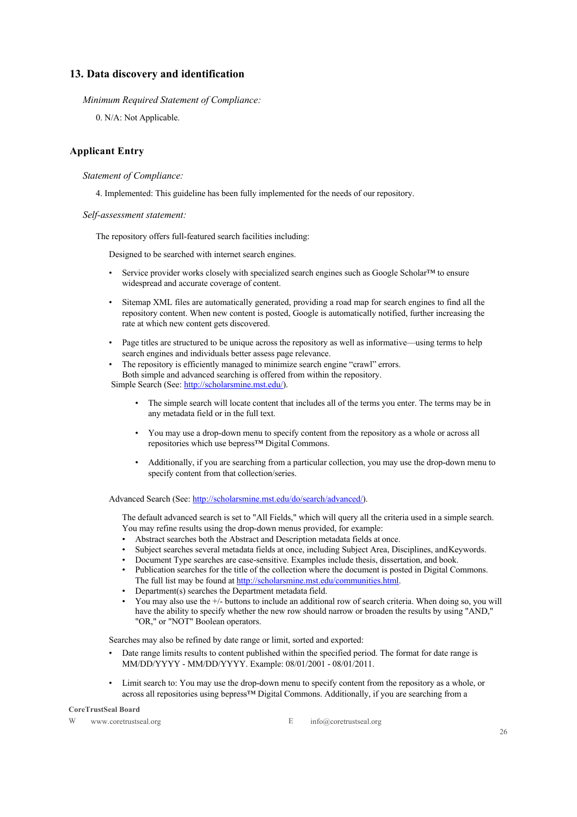### **13. Data discovery and identification**

*Minimum Required Statement of Compliance:*

0. N/A: Not Applicable.

### **Applicant Entry**

### *Statement of Compliance:*

4. Implemented: This guideline has been fully implemented for the needs of our repository.

### *Self-assessment statement:*

The repository offers full-featured search facilities including:

Designed to be searched with internet search engines.

- Service provider works closely with specialized search engines such as Google Scholar™ to ensure widespread and accurate coverage of content.
- Sitemap XML files are automatically generated, providing a road map for search engines to find all the repository content. When new content is posted, Google is automatically notified, further increasing the rate at which new content gets discovered.
- Page titles are structured to be unique across the repository as well as informative—using terms to help search engines and individuals better assess page relevance.
- The repository is efficiently managed to minimize search engine "crawl" errors. Both simple and advanced searching is offered from within the repository. Simple Search (See: http://scholarsmine.mst.edu/).

- The simple search will locate content that includes all of the terms you enter. The terms may be in any metadata field or in the full text.
- You may use a drop-down menu to specify content from the repository as a whole or across all repositories which use bepress™ Digital Commons.
- Additionally, if you are searching from a particular collection, you may use the drop-down menu to specify content from that collection/series.

Advanced Search (See: http://scholarsmine.mst.edu/do/search/advanced/).

The default advanced search is set to "All Fields," which will query all the criteria used in a simple search. You may refine results using the drop-down menus provided, for example:

- Abstract searches both the Abstract and Description metadata fields at once.
- Subject searches several metadata fields at once, including Subject Area, Disciplines, andKeywords.
- Document Type searches are case-sensitive. Examples include thesis, dissertation, and book.
- Publication searches for the title of the collection where the document is posted in Digital Commons. The full list may be found at http://scholarsmine.mst.edu/communities.html.
- Department(s) searches the Department metadata field.
- You may also use the +/- buttons to include an additional row of search criteria. When doing so, you will have the ability to specify whether the new row should narrow or broaden the results by using "AND," "OR," or "NOT" Boolean operators.

Searches may also be refined by date range or limit, sorted and exported:

- Date range limits results to content published within the specified period. The format for date range is MM/DD/YYYY - MM/DD/YYYY. Example: 08/01/2001 - 08/01/2011.
- Limit search to: You may use the drop-down menu to specify content from the repository as a whole, or across all repositories using bepress™ Digital Commons. Additionally, if you are searching from a

#### **CoreTrustSeal Board**

W www.coretrustseal.org E info@coretrustseal.org E info@coretrustseal.org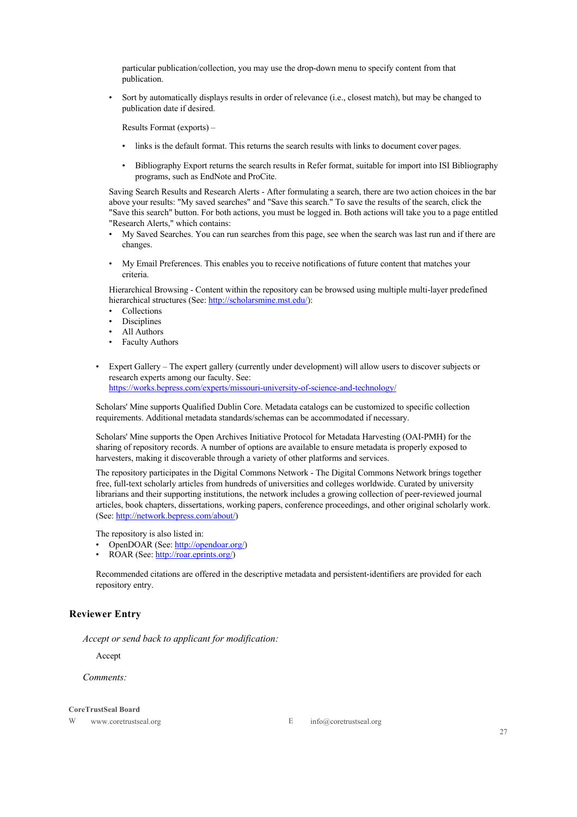particular publication/collection, you may use the drop-down menu to specify content from that publication.

• Sort by automatically displays results in order of relevance (i.e., closest match), but may be changed to publication date if desired.

Results Format (exports) –

- links is the default format. This returns the search results with links to document cover pages.
- Bibliography Export returns the search results in Refer format, suitable for import into ISI Bibliography programs, such as EndNote and ProCite.

Saving Search Results and Research Alerts - After formulating a search, there are two action choices in the bar above your results: "My saved searches" and "Save this search." To save the results of the search, click the "Save this search" button. For both actions, you must be logged in. Both actions will take you to a page entitled "Research Alerts," which contains:

- My Saved Searches. You can run searches from this page, see when the search was last run and if there are changes.
- My Email Preferences. This enables you to receive notifications of future content that matches your criteria.

Hierarchical Browsing - Content within the repository can be browsed using multiple multi-layer predefined hierarchical structures (See: http://scholarsmine.mst.edu/):

- **Collections**
- **Disciplines**
- All Authors
- Faculty Authors
- Expert Gallery The expert gallery (currently under development) will allow users to discover subjects or research experts among our faculty. See: https://works.bepress.com/experts/missouri-university-of-science-and-technology/

Scholars' Mine supports Qualified Dublin Core. Metadata catalogs can be customized to specific collection requirements. Additional metadata standards/schemas can be accommodated if necessary.

Scholars' Mine supports the Open Archives Initiative Protocol for Metadata Harvesting (OAI-PMH) for the sharing of repository records. A number of options are available to ensure metadata is properly exposed to harvesters, making it discoverable through a variety of other platforms and services.

The repository participates in the Digital Commons Network - The Digital Commons Network brings together free, full-text scholarly articles from hundreds of universities and colleges worldwide. Curated by university librarians and their supporting institutions, the network includes a growing collection of peer-reviewed journal articles, book chapters, dissertations, working papers, conference proceedings, and other original scholarly work. (See: http://network.bepress.com/about/)

The repository is also listed in:

- OpenDOAR (See: http://opendoar.org/)
- ROAR (See: http://roar.eprints.org/)

Recommended citations are offered in the descriptive metadata and persistent-identifiers are provided for each repository entry.

### **Reviewer Entry**

*Accept or send back to applicant for modification:*

Accept

*Comments:*

#### **CoreTrustSeal Board**

W www.coretrustseal.org E info@coretrustseal.org

27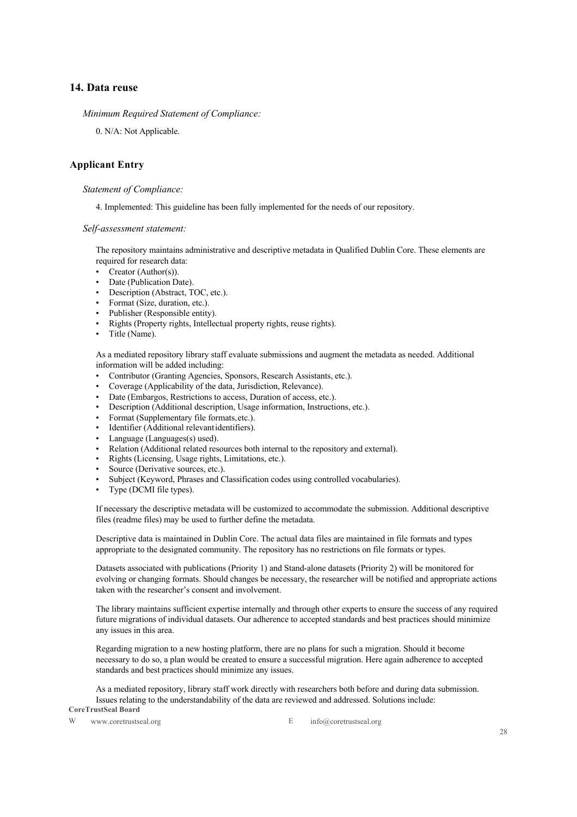### **14. Data reuse**

*Minimum Required Statement of Compliance:*

0. N/A: Not Applicable.

### **Applicant Entry**

#### *Statement of Compliance:*

4. Implemented: This guideline has been fully implemented for the needs of our repository.

*Self-assessment statement:*

The repository maintains administrative and descriptive metadata in Qualified Dublin Core. These elements are required for research data:

- Creator (Author(s)).
- Date (Publication Date).
- Description (Abstract, TOC, etc.).
- Format (Size, duration, etc.).
- Publisher (Responsible entity).
- Rights (Property rights, Intellectual property rights, reuse rights).
- Title (Name).

As a mediated repository library staff evaluate submissions and augment the metadata as needed. Additional information will be added including:

- Contributor (Granting Agencies, Sponsors, Research Assistants, etc.).
- Coverage (Applicability of the data, Jurisdiction, Relevance).
- Date (Embargos, Restrictions to access, Duration of access, etc.).
- Description (Additional description, Usage information, Instructions, etc.).
- Format (Supplementary file formats,etc.).
- Identifier (Additional relevantidentifiers).
- Language (Languages(s) used).
- Relation (Additional related resources both internal to the repository and external).
- Rights (Licensing, Usage rights, Limitations, etc.).
- Source (Derivative sources, etc.).
- Subject (Keyword, Phrases and Classification codes using controlled vocabularies).
- Type (DCMI file types).

If necessary the descriptive metadata will be customized to accommodate the submission. Additional descriptive files (readme files) may be used to further define the metadata.

Descriptive data is maintained in Dublin Core. The actual data files are maintained in file formats and types appropriate to the designated community. The repository has no restrictions on file formats or types.

Datasets associated with publications (Priority 1) and Stand-alone datasets (Priority 2) will be monitored for evolving or changing formats. Should changes be necessary, the researcher will be notified and appropriate actions taken with the researcher's consent and involvement.

The library maintains sufficient expertise internally and through other experts to ensure the success of any required future migrations of individual datasets. Our adherence to accepted standards and best practices should minimize any issues in this area.

Regarding migration to a new hosting platform, there are no plans for such a migration. Should it become necessary to do so, a plan would be created to ensure a successful migration. Here again adherence to accepted standards and best practices should minimize any issues.

**CoreTrustSeal Board** As a mediated repository, library staff work directly with researchers both before and during data submission. Issues relating to the understandability of the data are reviewed and addressed. Solutions include:

W www.coretrustseal.org E info@coretrustseal.org

28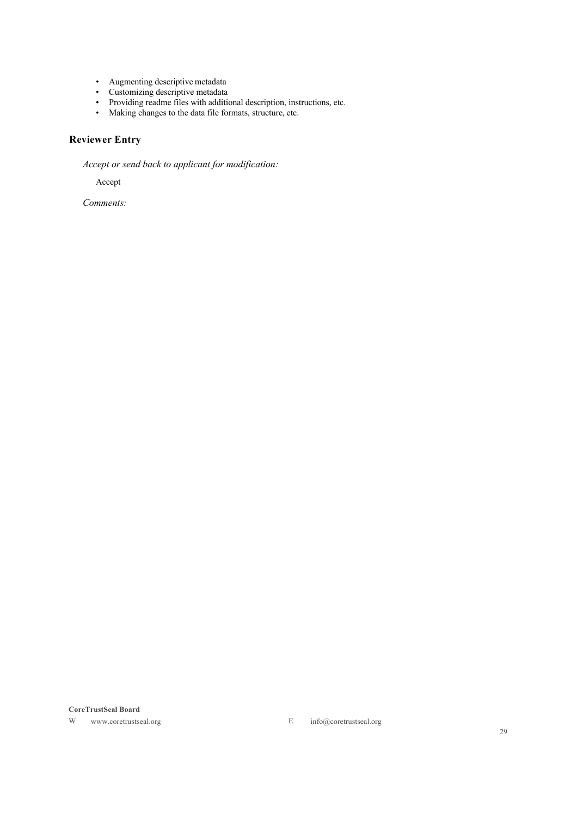- Augmenting descriptive metadata
- Customizing descriptive metadata
- Providing readme files with additional description, instructions, etc.
- Making changes to the data file formats, structure, etc.

# **Reviewer Entry**

*Accept or send back to applicant for modification:*

Accept

*Comments:*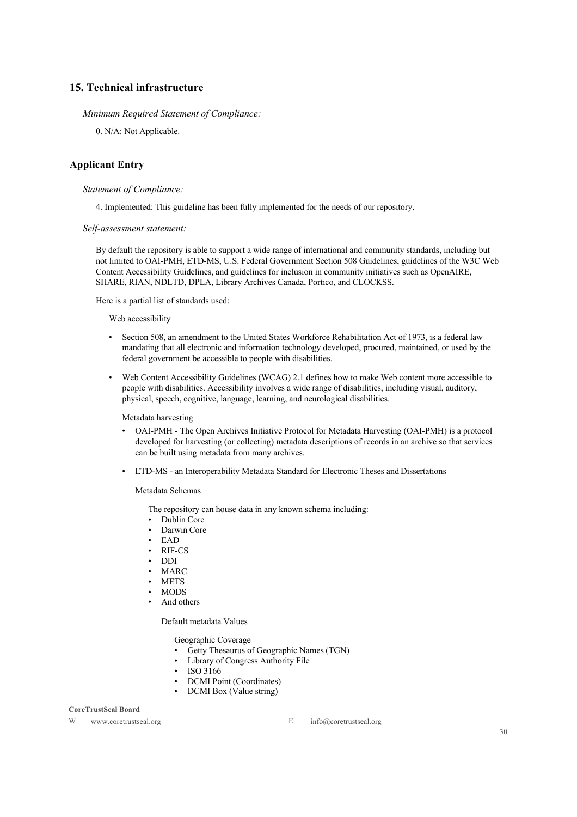### **15. Technical infrastructure**

### *Minimum Required Statement of Compliance:*

0. N/A: Not Applicable.

### **Applicant Entry**

#### *Statement of Compliance:*

4. Implemented: This guideline has been fully implemented for the needs of our repository.

*Self-assessment statement:*

By default the repository is able to support a wide range of international and community standards, including but not limited to OAI-PMH, ETD-MS, U.S. Federal Government Section 508 Guidelines, guidelines of the W3C Web Content Accessibility Guidelines, and guidelines for inclusion in community initiatives such as OpenAIRE, SHARE, RIAN, NDLTD, DPLA, Library Archives Canada, Portico, and CLOCKSS.

Here is a partial list of standards used:

Web accessibility

- Section 508, an amendment to the United States Workforce Rehabilitation Act of 1973, is a federal law mandating that all electronic and information technology developed, procured, maintained, or used by the federal government be accessible to people with disabilities.
- Web Content Accessibility Guidelines (WCAG) 2.1 defines how to make Web content more accessible to people with disabilities. Accessibility involves a wide range of disabilities, including visual, auditory, physical, speech, cognitive, language, learning, and neurological disabilities.

Metadata harvesting

- OAI-PMH The Open Archives Initiative Protocol for Metadata Harvesting (OAI-PMH) is a protocol developed for harvesting (or collecting) metadata descriptions of records in an archive so that services can be built using metadata from many archives.
- ETD-MS an Interoperability Metadata Standard for Electronic Theses and Dissertations

Metadata Schemas

The repository can house data in any known schema including:

- Dublin Core
- Darwin Core
- EAD
- RIF-CS
- DDI
- MARC
- METS
- MODS
- And others

Default metadata Values

Geographic Coverage

- Getty Thesaurus of Geographic Names (TGN)
- Library of Congress Authority File
- ISO 3166
- DCMI Point (Coordinates)
- DCMI Box (Value string)

#### **CoreTrustSeal Board**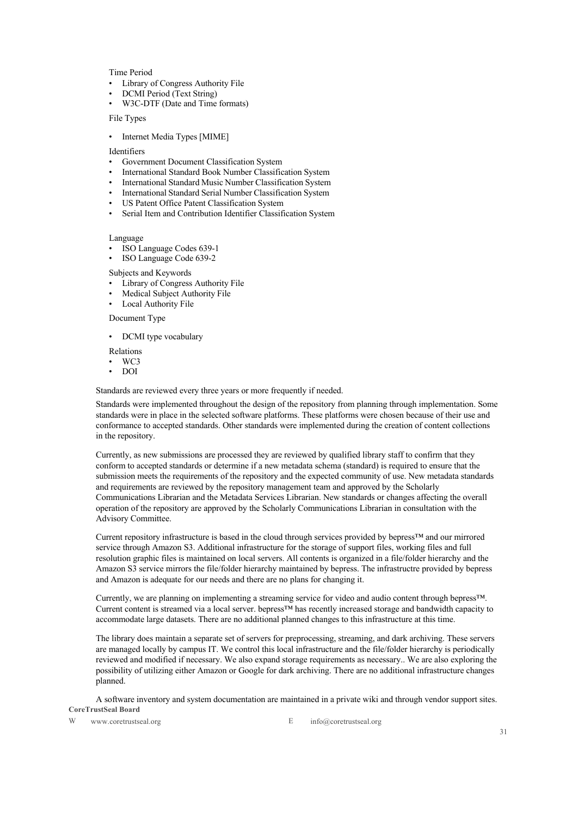#### Time Period

- Library of Congress Authority File
- DCMI Period (Text String)
- W3C-DTF (Date and Time formats)

File Types

• Internet Media Types [MIME]

Identifiers

- Government Document Classification System
- International Standard Book Number Classification System
- International Standard Music Number Classification System
- International Standard Serial Number Classification System
- US Patent Office Patent Classification System
- Serial Item and Contribution Identifier Classification System

Language

- ISO Language Codes 639-1
- ISO Language Code 639-2

Subjects and Keywords

- Library of Congress Authority File
- Medical Subject Authority File
- Local Authority File

Document Type

• DCMI type vocabulary

Relations

- WC3
- DOI

Standards are reviewed every three years or more frequently if needed.

Standards were implemented throughout the design of the repository from planning through implementation. Some standards were in place in the selected software platforms. These platforms were chosen because of their use and conformance to accepted standards. Other standards were implemented during the creation of content collections in the repository.

Currently, as new submissions are processed they are reviewed by qualified library staff to confirm that they conform to accepted standards or determine if a new metadata schema (standard) is required to ensure that the submission meets the requirements of the repository and the expected community of use. New metadata standards and requirements are reviewed by the repository management team and approved by the Scholarly Communications Librarian and the Metadata Services Librarian. New standards or changes affecting the overall operation of the repository are approved by the Scholarly Communications Librarian in consultation with the Advisory Committee.

Current repository infrastructure is based in the cloud through services provided by bepress™ and our mirrored service through Amazon S3. Additional infrastructure for the storage of support files, working files and full resolution graphic files is maintained on local servers. All contents is organized in a file/folder hierarchy and the Amazon S3 service mirrors the file/folder hierarchy maintained by bepress. The infrastructre provided by bepress and Amazon is adequate for our needs and there are no plans for changing it.

Currently, we are planning on implementing a streaming service for video and audio content through bepress™. Current content is streamed via a local server. bepress™ has recently increased storage and bandwidth capacity to accommodate large datasets. There are no additional planned changes to this infrastructure at this time.

The library does maintain a separate set of servers for preprocessing, streaming, and dark archiving. These servers are managed locally by campus IT. We control this local infrastructure and the file/folder hierarchy is periodically reviewed and modified if necessary. We also expand storage requirements as necessary.. We are also exploring the possibility of utilizing either Amazon or Google for dark archiving. There are no additional infrastructure changes planned.

**CoreTrustSeal Board** A software inventory and system documentation are maintained in a private wiki and through vendor support sites.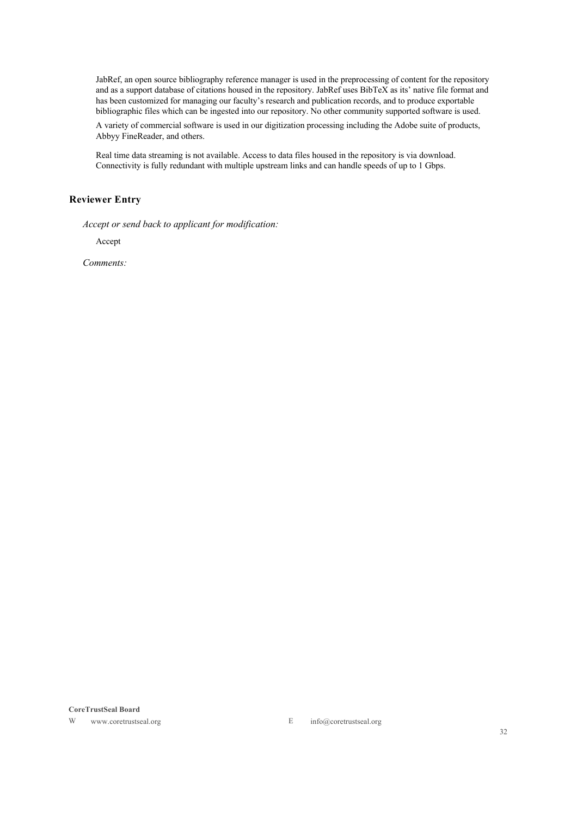JabRef, an open source bibliography reference manager is used in the preprocessing of content for the repository and as a support database of citations housed in the repository. JabRef uses BibTeX as its' native file format and has been customized for managing our faculty's research and publication records, and to produce exportable bibliographic files which can be ingested into our repository. No other community supported software is used.

A variety of commercial software is used in our digitization processing including the Adobe suite of products, Abbyy FineReader, and others.

Real time data streaming is not available. Access to data files housed in the repository is via download. Connectivity is fully redundant with multiple upstream links and can handle speeds of up to 1 Gbps.

### **Reviewer Entry**

*Accept or send back to applicant for modification:*

Accept

*Comments:*

#### **CoreTrustSeal Board**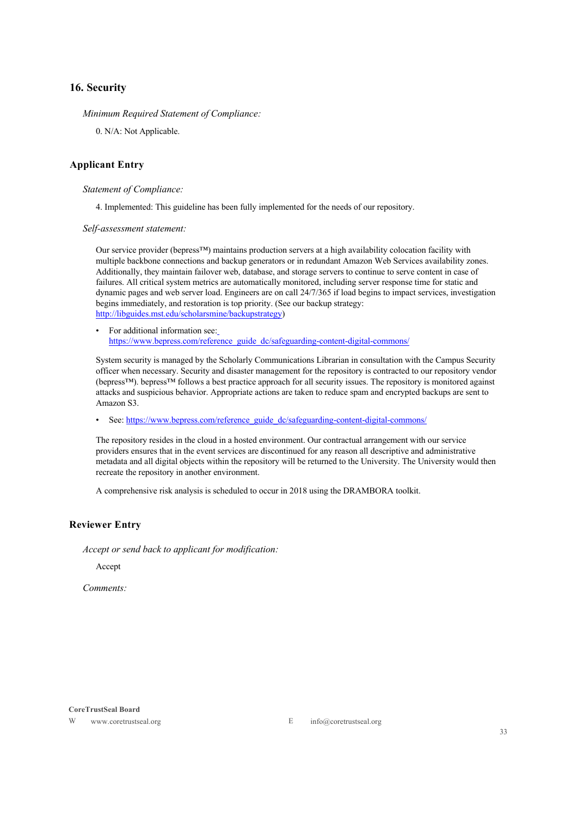### **16. Security**

*Minimum Required Statement of Compliance:*

0. N/A: Not Applicable.

### **Applicant Entry**

*Statement of Compliance:*

4. Implemented: This guideline has been fully implemented for the needs of our repository.

*Self-assessment statement:*

Our service provider (bepress™) maintains production servers at a high availability colocation facility with multiple backbone connections and backup generators or in redundant Amazon Web Services availability zones. Additionally, they maintain failover web, database, and storage servers to continue to serve content in case of failures. All critical system metrics are automatically monitored, including server response time for static and dynamic pages and web server load. Engineers are on call 24/7/365 if load begins to impact services, investigation begins immediately, and restoration is top priority. (See our backup strategy: http://libguides.mst.edu/scholarsmine/backupstrategy)

• For additional information see: https://www.bepress.com/reference\_guide\_dc/safeguarding-content-digital-commons/

System security is managed by the Scholarly Communications Librarian in consultation with the Campus Security officer when necessary. Security and disaster management for the repository is contracted to our repository vendor (bepress™). bepress™ follows a best practice approach for all security issues. The repository is monitored against attacks and suspicious behavior. Appropriate actions are taken to reduce spam and encrypted backups are sent to Amazon S3.

• See: https://www.bepress.com/reference\_guide\_dc/safeguarding-content-digital-commons/

The repository resides in the cloud in a hosted environment. Our contractual arrangement with our service providers ensures that in the event services are discontinued for any reason all descriptive and administrative metadata and all digital objects within the repository will be returned to the University. The University would then recreate the repository in another environment.

A comprehensive risk analysis is scheduled to occur in 2018 using the DRAMBORA toolkit.

### **Reviewer Entry**

*Accept or send back to applicant for modification:*

Accept

*Comments:*

**CoreTrustSeal Board**